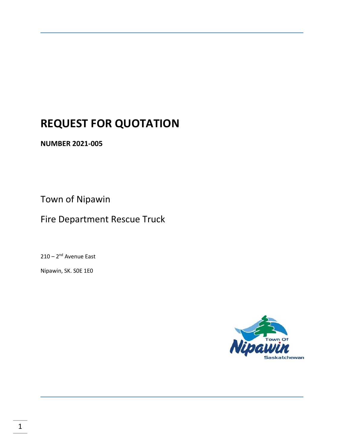# **REQUEST FOR QUOTATION**

**NUMBER 2021-005**

Town of Nipawin

Fire Department Rescue Truck

210 – 2<sup>nd</sup> Avenue East

Nipawin, SK. S0E 1E0

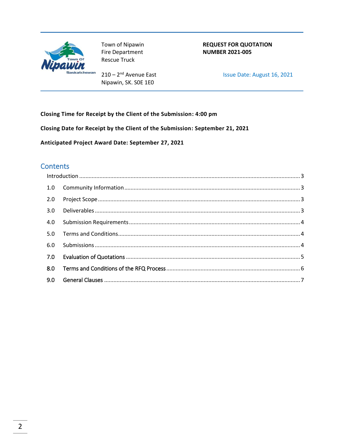

Town of Nipawin Fire Department **Rescue Truck** 

 $210 - 2<sup>nd</sup>$  Avenue East Nipawin, SK. SOE 1E0

**REQUEST FOR QUOTATION NUMBER 2021-005** 

Issue Date: August 16, 2021

Closing Time for Receipt by the Client of the Submission: 4:00 pm

Closing Date for Receipt by the Client of the Submission: September 21, 2021

Anticipated Project Award Date: September 27, 2021

# **Contents**

| 1.0 |  |
|-----|--|
| 2.0 |  |
| 3.0 |  |
| 4.0 |  |
| 5.0 |  |
| 6.0 |  |
|     |  |
| 8.0 |  |
| 9.0 |  |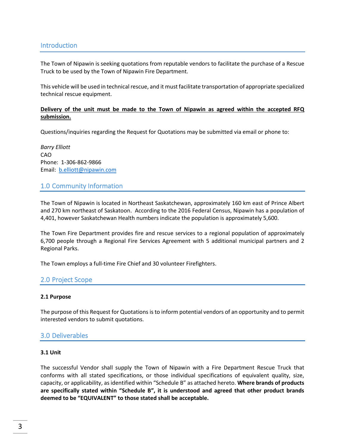#### <span id="page-2-0"></span>Introduction

The Town of Nipawin is seeking quotations from reputable vendors to facilitate the purchase of a Rescue Truck to be used by the Town of Nipawin Fire Department.

This vehicle will be used in technical rescue, and it must facilitate transportation of appropriate specialized technical rescue equipment.

#### **Delivery of the unit must be made to the Town of Nipawin as agreed within the accepted RFQ submission.**

Questions/inquiries regarding the Request for Quotations may be submitted via email or phone to:

*Barry Elliott* CAO Phone: 1-306-862-9866 Email: [b.elliott@nipawin.com](mailto:b.elliott@nipawin.com)

#### <span id="page-2-1"></span>1.0 Community Information

The Town of Nipawin is located in Northeast Saskatchewan, approximately 160 km east of Prince Albert and 270 km northeast of Saskatoon. According to the 2016 Federal Census, Nipawin has a population of 4,401, however Saskatchewan Health numbers indicate the population is approximately 5,600.

The Town Fire Department provides fire and rescue services to a regional population of approximately 6,700 people through a Regional Fire Services Agreement with 5 additional municipal partners and 2 Regional Parks.

The Town employs a full-time Fire Chief and 30 volunteer Firefighters.

#### <span id="page-2-2"></span>2.0 Project Scope

#### **2.1 Purpose**

The purpose of this Request for Quotations is to inform potential vendors of an opportunity and to permit interested vendors to submit quotations.

#### <span id="page-2-3"></span>3.0 Deliverables

#### **3.1 Unit**

The successful Vendor shall supply the Town of Nipawin with a Fire Department Rescue Truck that conforms with all stated specifications, or those individual specifications of equivalent quality, size, capacity, or applicability, as identified within "Schedule B" as attached hereto. **Where brands of products are specifically stated within "Schedule B", it is understood and agreed that other product brands deemed to be "EQUIVALENT" to those stated shall be acceptable.**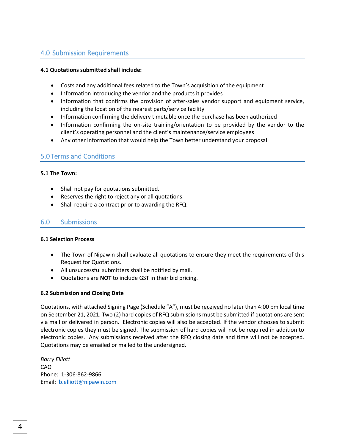# <span id="page-3-0"></span>4.0 Submission Requirements

#### **4.1 Quotations submitted shall include:**

- Costs and any additional fees related to the Town's acquisition of the equipment
- Information introducing the vendor and the products it provides
- Information that confirms the provision of after-sales vendor support and equipment service, including the location of the nearest parts/service facility
- Information confirming the delivery timetable once the purchase has been authorized
- Information confirming the on-site training/orientation to be provided by the vendor to the client's operating personnel and the client's maintenance/service employees
- Any other information that would help the Town better understand your proposal

#### <span id="page-3-1"></span>5.0Terms and Conditions

#### **5.1 The Town:**

- Shall not pay for quotations submitted.
- Reserves the right to reject any or all quotations.
- Shall require a contract prior to awarding the RFQ.

## <span id="page-3-2"></span>6.0 Submissions

#### **6.1 Selection Process**

- The Town of Nipawin shall evaluate all quotations to ensure they meet the requirements of this Request for Quotations.
- All unsuccessful submitters shall be notified by mail.
- Quotations are **NOT** to include GST in their bid pricing.

#### **6.2 Submission and Closing Date**

Quotations, with attached Signing Page (Schedule "A"), must be received no later than 4:00 pm local time on September 21, 2021. Two (2) hard copies of RFQ submissions must be submitted if quotations are sent via mail or delivered in person. Electronic copies will also be accepted. If the vendor chooses to submit electronic copies they must be signed. The submission of hard copies will not be required in addition to electronic copies. Any submissions received after the RFQ closing date and time will not be accepted. Quotations may be emailed or mailed to the undersigned.

*Barry Elliott* CAO Phone: 1-306-862-9866 Email: [b.elliott@nipawin.com](mailto:b.elliott@nipawin.com)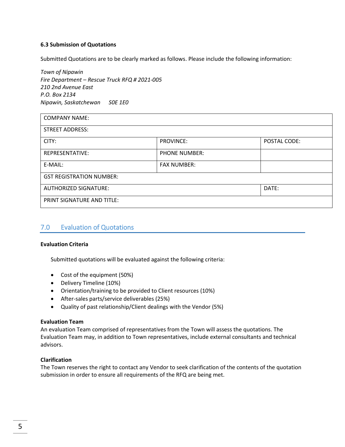#### **6.3 Submission of Quotations**

Submitted Quotations are to be clearly marked as follows. Please include the following information:

*Town of Nipawin Fire Department – Rescue Truck RFQ # 2021-005 210 2nd Avenue East P.O. Box 2134 Nipawin, Saskatchewan S0E 1E0*

| <b>COMPANY NAME:</b>              |                      |              |  |  |  |
|-----------------------------------|----------------------|--------------|--|--|--|
| <b>STREET ADDRESS:</b>            |                      |              |  |  |  |
| CITY:                             | <b>PROVINCE:</b>     | POSTAL CODE: |  |  |  |
| REPRESENTATIVE:                   | <b>PHONE NUMBER:</b> |              |  |  |  |
| E-MAIL:                           | <b>FAX NUMBER:</b>   |              |  |  |  |
| <b>GST REGISTRATION NUMBER:</b>   |                      |              |  |  |  |
| <b>AUTHORIZED SIGNATURE:</b>      | DATE:                |              |  |  |  |
| <b>PRINT SIGNATURE AND TITLE:</b> |                      |              |  |  |  |

#### <span id="page-4-0"></span>7.0 Evaluation of Quotations

#### **Evaluation Criteria**

Submitted quotations will be evaluated against the following criteria:

- Cost of the equipment (50%)
- Delivery Timeline (10%)
- Orientation/training to be provided to Client resources (10%)
- After-sales parts/service deliverables (25%)
- Quality of past relationship/Client dealings with the Vendor (5%)

#### **Evaluation Team**

An evaluation Team comprised of representatives from the Town will assess the quotations. The Evaluation Team may, in addition to Town representatives, include external consultants and technical advisors.

#### **Clarification**

The Town reserves the right to contact any Vendor to seek clarification of the contents of the quotation submission in order to ensure all requirements of the RFQ are being met.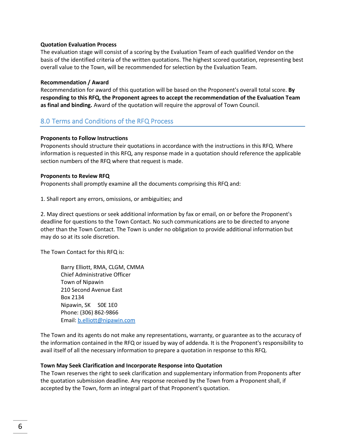#### **Quotation Evaluation Process**

The evaluation stage will consist of a scoring by the Evaluation Team of each qualified Vendor on the basis of the identified criteria of the written quotations. The highest scored quotation, representing best overall value to the Town, will be recommended for selection by the Evaluation Team.

#### **Recommendation / Award**

Recommendation for award of this quotation will be based on the Proponent's overall total score. **By responding to this RFQ, the Proponent agrees to accept the recommendation of the Evaluation Team as final and binding.** Award of the quotation will require the approval of Town Council.

#### <span id="page-5-0"></span>8.0 Terms and Conditions of the RFQ Process

#### **Proponents to Follow Instructions**

Proponents should structure their quotations in accordance with the instructions in this RFQ. Where information is requested in this RFQ, any response made in a quotation should reference the applicable section numbers of the RFQ where that request is made.

#### **Proponents to Review RFQ**

Proponents shall promptly examine all the documents comprising this RFQ and:

1. Shall report any errors, omissions, or ambiguities; and

2. May direct questions or seek additional information by fax or email, on or before the Proponent's deadline for questions to the Town Contact. No such communications are to be directed to anyone other than the Town Contact. The Town is under no obligation to provide additional information but may do so at its sole discretion.

The Town Contact for this RFQ is:

Barry Elliott, RMA, CLGM, CMMA Chief Administrative Officer Town of Nipawin 210 Second Avenue East Box 2134 Nipawin, SK S0E 1E0 Phone: (306) 862-9866 Email: [b.elliott@nipawin.com](mailto:b.elliott@nipawin.com)

The Town and its agents do not make any representations, warranty, or guarantee as to the accuracy of the information contained in the RFQ or issued by way of addenda. It is the Proponent's responsibility to avail itself of all the necessary information to prepare a quotation in response to this RFQ.

#### **Town May Seek Clarification and Incorporate Response into Quotation**

The Town reserves the right to seek clarification and supplementary information from Proponents after the quotation submission deadline. Any response received by the Town from a Proponent shall, if accepted by the Town, form an integral part of that Proponent's quotation.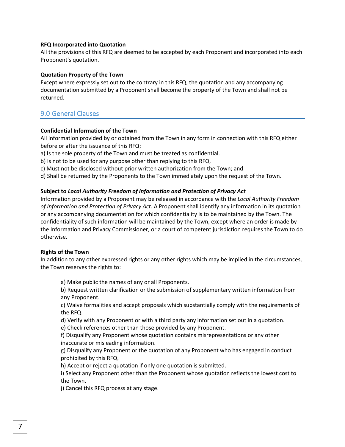#### **RFQ Incorporated into Quotation**

All the provisions of this RFQ are deemed to be accepted by each Proponent and incorporated into each Proponent's quotation.

#### **Quotation Property of the Town**

Except where expressly set out to the contrary in this RFQ, the quotation and any accompanying documentation submitted by a Proponent shall become the property of the Town and shall not be returned.

# <span id="page-6-0"></span>9.0 General Clauses

#### **Confidential Information of the Town**

All information provided by or obtained from the Town in any form in connection with this RFQ either before or after the issuance of this RFQ:

a) Is the sole property of the Town and must be treated as confidential.

b) Is not to be used for any purpose other than replying to this RFQ.

c) Must not be disclosed without prior written authorization from the Town; and

d) Shall be returned by the Proponents to the Town immediately upon the request of the Town.

#### **Subject to** *Local Authority Freedom of Information and Protection of Privacy Act*

Information provided by a Proponent may be released in accordance with the *Local Authority Freedom of Information and Protection of Privacy Act*. A Proponent shall identify any information in its quotation or any accompanying documentation for which confidentiality is to be maintained by the Town. The confidentiality of such information will be maintained by the Town, except where an order is made by the Information and Privacy Commissioner, or a court of competent jurisdiction requires the Town to do otherwise.

#### **Rights of the Town**

In addition to any other expressed rights or any other rights which may be implied in the circumstances, the Town reserves the rights to:

a) Make public the names of any or all Proponents.

b) Request written clarification or the submission of supplementary written information from any Proponent.

c) Waive formalities and accept proposals which substantially comply with the requirements of the RFQ.

d) Verify with any Proponent or with a third party any information set out in a quotation.

e) Check references other than those provided by any Proponent.

f) Disqualify any Proponent whose quotation contains misrepresentations or any other inaccurate or misleading information.

g) Disqualify any Proponent or the quotation of any Proponent who has engaged in conduct prohibited by this RFQ.

h) Accept or reject a quotation if only one quotation is submitted.

i) Select any Proponent other than the Proponent whose quotation reflects the lowest cost to the Town.

j) Cancel this RFQ process at any stage.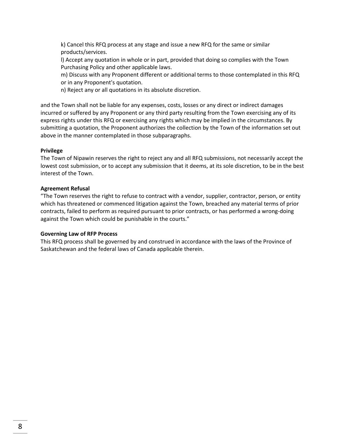k) Cancel this RFQ process at any stage and issue a new RFQ for the same or similar products/services.

l) Accept any quotation in whole or in part, provided that doing so complies with the Town Purchasing Policy and other applicable laws.

m) Discuss with any Proponent different or additional terms to those contemplated in this RFQ or in any Proponent's quotation.

n) Reject any or all quotations in its absolute discretion.

and the Town shall not be liable for any expenses, costs, losses or any direct or indirect damages incurred or suffered by any Proponent or any third party resulting from the Town exercising any of its express rights under this RFQ or exercising any rights which may be implied in the circumstances. By submitting a quotation, the Proponent authorizes the collection by the Town of the information set out above in the manner contemplated in those subparagraphs.

#### **Privilege**

The Town of Nipawin reserves the right to reject any and all RFQ submissions, not necessarily accept the lowest cost submission, or to accept any submission that it deems, at its sole discretion, to be in the best interest of the Town.

#### **Agreement Refusal**

"The Town reserves the right to refuse to contract with a vendor, supplier, contractor, person, or entity which has threatened or commenced litigation against the Town, breached any material terms of prior contracts, failed to perform as required pursuant to prior contracts, or has performed a wrong-doing against the Town which could be punishable in the courts."

#### **Governing Law of RFP Process**

This RFQ process shall be governed by and construed in accordance with the laws of the Province of Saskatchewan and the federal laws of Canada applicable therein.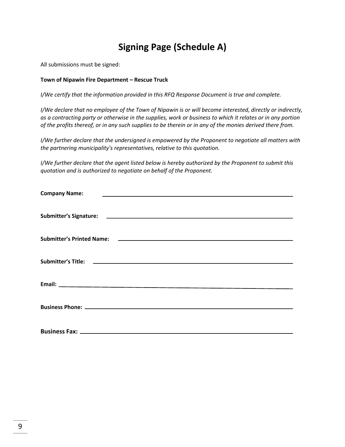# **Signing Page (Schedule A)**

All submissions must be signed:

#### **Town of Nipawin Fire Department – Rescue Truck**

*I/We certify that the information provided in this RFQ Response Document is true and complete.*

*I/We declare that no employee of the Town of Nipawin is or will become interested, directly or indirectly, as a contracting party or otherwise in the supplies, work or business to which it relates or in any portion of the profits thereof, or in any such supplies to be therein or in any of the monies derived there from.*

*I/We further declare that the undersigned is empowered by the Proponent to negotiate all matters with the partnering municipality's representatives, relative to this quotation.*

*I/We further declare that the agent listed below is hereby authorized by the Proponent to submit this quotation and is authorized to negotiate on behalf of the Proponent.*

| <b>Company Name:</b>                                                                                           |
|----------------------------------------------------------------------------------------------------------------|
|                                                                                                                |
| Submitter's Printed Name: 2008 2009 2010 2020 2021 2022 2023 2024 2022 2023 2024 2022 2023 2024 2022 2023 2024 |
|                                                                                                                |
|                                                                                                                |
|                                                                                                                |
|                                                                                                                |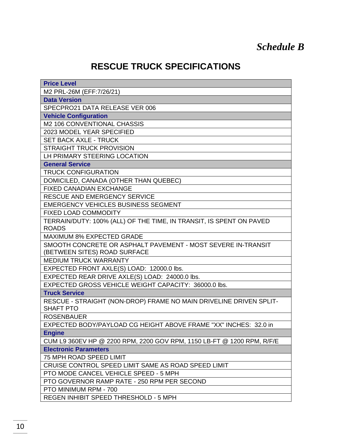# **RESCUE TRUCK SPECIFICATIONS**

| <b>Price Level</b>                                                                    |  |  |  |  |
|---------------------------------------------------------------------------------------|--|--|--|--|
| M2 PRL-26M (EFF: 7/26/21)                                                             |  |  |  |  |
| <b>Data Version</b>                                                                   |  |  |  |  |
| SPECPRO21 DATA RELEASE VER 006                                                        |  |  |  |  |
| <b>Vehicle Configuration</b>                                                          |  |  |  |  |
| M2 106 CONVENTIONAL CHASSIS                                                           |  |  |  |  |
| 2023 MODEL YEAR SPECIFIED                                                             |  |  |  |  |
| <b>SET BACK AXLE - TRUCK</b>                                                          |  |  |  |  |
| <b>STRAIGHT TRUCK PROVISION</b>                                                       |  |  |  |  |
| LH PRIMARY STEERING LOCATION                                                          |  |  |  |  |
| <b>General Service</b>                                                                |  |  |  |  |
| <b>TRUCK CONFIGURATION</b>                                                            |  |  |  |  |
| DOMICILED, CANADA (OTHER THAN QUEBEC)                                                 |  |  |  |  |
| <b>FIXED CANADIAN EXCHANGE</b>                                                        |  |  |  |  |
| RESCUE AND EMERGENCY SERVICE                                                          |  |  |  |  |
| <b>EMERGENCY VEHICLES BUSINESS SEGMENT</b>                                            |  |  |  |  |
| FIXED LOAD COMMODITY                                                                  |  |  |  |  |
| TERRAIN/DUTY: 100% (ALL) OF THE TIME, IN TRANSIT, IS SPENT ON PAVED                   |  |  |  |  |
| <b>ROADS</b>                                                                          |  |  |  |  |
| <b>MAXIMUM 8% EXPECTED GRADE</b>                                                      |  |  |  |  |
| SMOOTH CONCRETE OR ASPHALT PAVEMENT - MOST SEVERE IN-TRANSIT                          |  |  |  |  |
| (BETWEEN SITES) ROAD SURFACE                                                          |  |  |  |  |
| <b>MEDIUM TRUCK WARRANTY</b>                                                          |  |  |  |  |
| EXPECTED FRONT AXLE(S) LOAD: 12000.0 lbs.                                             |  |  |  |  |
| EXPECTED REAR DRIVE AXLE(S) LOAD: 24000.0 lbs.                                        |  |  |  |  |
| EXPECTED GROSS VEHICLE WEIGHT CAPACITY: 36000.0 lbs.                                  |  |  |  |  |
| <b>Truck Service</b>                                                                  |  |  |  |  |
| RESCUE - STRAIGHT (NON-DROP) FRAME NO MAIN DRIVELINE DRIVEN SPLIT-                    |  |  |  |  |
| <b>SHAFT PTO</b>                                                                      |  |  |  |  |
| <b>ROSENBAUER</b><br>EXPECTED BODY/PAYLOAD CG HEIGHT ABOVE FRAME "XX" INCHES: 32.0 in |  |  |  |  |
|                                                                                       |  |  |  |  |
| <b>Engine</b>                                                                         |  |  |  |  |
| CUM L9 360EV HP @ 2200 RPM, 2200 GOV RPM, 1150 LB-FT @ 1200 RPM, R/F/E                |  |  |  |  |
| <b>Electronic Parameters</b>                                                          |  |  |  |  |
| 75 MPH ROAD SPEED LIMIT                                                               |  |  |  |  |
| CRUISE CONTROL SPEED LIMIT SAME AS ROAD SPEED LIMIT                                   |  |  |  |  |
| PTO MODE CANCEL VEHICLE SPEED - 5 MPH                                                 |  |  |  |  |
| PTO GOVERNOR RAMP RATE - 250 RPM PER SECOND                                           |  |  |  |  |
| PTO MINIMUM RPM - 700                                                                 |  |  |  |  |
| REGEN INHIBIT SPEED THRESHOLD - 5 MPH                                                 |  |  |  |  |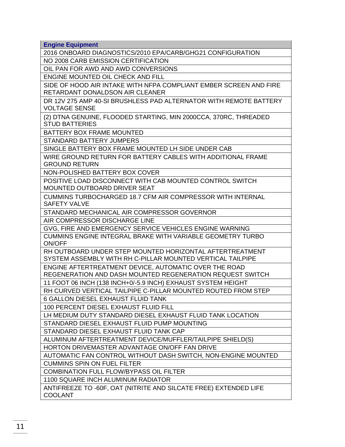**Engine Equipment** 

2016 ONBOARD DIAGNOSTICS/2010 EPA/CARB/GHG21 CONFIGURATION

NO 2008 CARB EMISSION CERTIFICATION

OIL PAN FOR AWD AND AWD CONVERSIONS

ENGINE MOUNTED OIL CHECK AND FILL

SIDE OF HOOD AIR INTAKE WITH NFPA COMPLIANT EMBER SCREEN AND FIRE RETARDANT DONALDSON AIR CLEANER

DR 12V 275 AMP 40-SI BRUSHLESS PAD ALTERNATOR WITH REMOTE BATTERY VOLTAGE SENSE

(2) DTNA GENUINE, FLOODED STARTING, MIN 2000CCA, 370RC, THREADED STUD BATTERIES

BATTERY BOX FRAME MOUNTED

STANDARD BATTERY JUMPERS

SINGLE BATTERY BOX FRAME MOUNTED LH SIDE UNDER CAB

WIRE GROUND RETURN FOR BATTERY CABLES WITH ADDITIONAL FRAME GROUND RETURN

NON-POLISHED BATTERY BOX COVER

POSITIVE LOAD DISCONNECT WITH CAB MOUNTED CONTROL SWITCH MOUNTED OUTBOARD DRIVER SEAT

CUMMINS TURBOCHARGED 18.7 CFM AIR COMPRESSOR WITH INTERNAL SAFETY VALVE

STANDARD MECHANICAL AIR COMPRESSOR GOVERNOR

AIR COMPRESSOR DISCHARGE LINE

GVG, FIRE AND EMERGENCY SERVICE VEHICLES ENGINE WARNING CUMMINS ENGINE INTEGRAL BRAKE WITH VARIABLE GEOMETRY TURBO ON/OFF

RH OUTBOARD UNDER STEP MOUNTED HORIZONTAL AFTERTREATMENT SYSTEM ASSEMBLY WITH RH C-PILLAR MOUNTED VERTICAL TAILPIPE

ENGINE AFTERTREATMENT DEVICE, AUTOMATIC OVER THE ROAD REGENERATION AND DASH MOUNTED REGENERATION REQUEST SWITCH

11 FOOT 06 INCH (138 INCH+0/-5.9 INCH) EXHAUST SYSTEM HEIGHT

RH CURVED VERTICAL TAILPIPE C-PILLAR MOUNTED ROUTED FROM STEP

6 GALLON DIESEL EXHAUST FLUID TANK

100 PERCENT DIESEL EXHAUST FLUID FILL

LH MEDIUM DUTY STANDARD DIESEL EXHAUST FLUID TANK LOCATION

STANDARD DIESEL EXHAUST FLUID PUMP MOUNTING

STANDARD DIESEL EXHAUST FLUID TANK CAP

ALUMINUM AFTERTREATMENT DEVICE/MUFFLER/TAILPIPE SHIELD(S)

HORTON DRIVEMASTER ADVANTAGE ON/OFF FAN DRIVE

AUTOMATIC FAN CONTROL WITHOUT DASH SWITCH, NON-ENGINE MOUNTED

CUMMINS SPIN ON FUEL FILTER

COMBINATION FULL FLOW/BYPASS OIL FILTER

1100 SQUARE INCH ALUMINUM RADIATOR

ANTIFREEZE TO -60F, OAT (NITRITE AND SILCATE FREE) EXTENDED LIFE COOLANT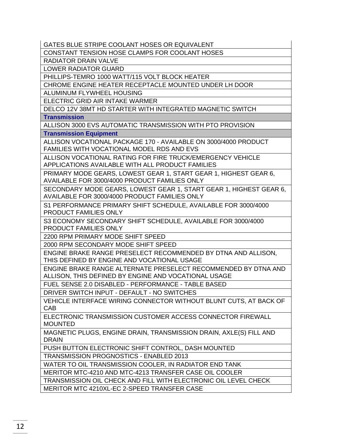GATES BLUE STRIPE COOLANT HOSES OR EQUIVALENT

CONSTANT TENSION HOSE CLAMPS FOR COOLANT HOSES

RADIATOR DRAIN VALVE

LOWER RADIATOR GUARD

PHILLIPS-TEMRO 1000 WATT/115 VOLT BLOCK HEATER

CHROME ENGINE HEATER RECEPTACLE MOUNTED UNDER LH DOOR

ALUMINUM FLYWHEEL HOUSING

ELECTRIC GRID AIR INTAKE WARMER

DELCO 12V 38MT HD STARTER WITH INTEGRATED MAGNETIC SWITCH

**Transmission**

ALLISON 3000 EVS AUTOMATIC TRANSMISSION WITH PTO PROVISION

**Transmission Equipment**

ALLISON VOCATIONAL PACKAGE 170 - AVAILABLE ON 3000/4000 PRODUCT FAMILIES WITH VOCATIONAL MODEL RDS AND EVS

ALLISON VOCATIONAL RATING FOR FIRE TRUCK/EMERGENCY VEHICLE APPLICATIONS AVAILABLE WITH ALL PRODUCT FAMILIES

PRIMARY MODE GEARS, LOWEST GEAR 1, START GEAR 1, HIGHEST GEAR 6, AVAILABLE FOR 3000/4000 PRODUCT FAMILIES ONLY

SECONDARY MODE GEARS, LOWEST GEAR 1, START GEAR 1, HIGHEST GEAR 6, AVAILABLE FOR 3000/4000 PRODUCT FAMILIES ONLY

S1 PERFORMANCE PRIMARY SHIFT SCHEDULE, AVAILABLE FOR 3000/4000 PRODUCT FAMILIES ONLY

S3 ECONOMY SECONDARY SHIFT SCHEDULE, AVAILABLE FOR 3000/4000 PRODUCT FAMILIES ONLY

2200 RPM PRIMARY MODE SHIFT SPEED

2000 RPM SECONDARY MODE SHIFT SPEED

ENGINE BRAKE RANGE PRESELECT RECOMMENDED BY DTNA AND ALLISON, THIS DEFINED BY ENGINE AND VOCATIONAL USAGE

ENGINE BRAKE RANGE ALTERNATE PRESELECT RECOMMENDED BY DTNA AND ALLISON, THIS DEFINED BY ENGINE AND VOCATIONAL USAGE

FUEL SENSE 2.0 DISABLED - PERFORMANCE - TABLE BASED

DRIVER SWITCH INPUT - DEFAULT - NO SWITCHES

VEHICLE INTERFACE WIRING CONNECTOR WITHOUT BLUNT CUTS, AT BACK OF CAB

ELECTRONIC TRANSMISSION CUSTOMER ACCESS CONNECTOR FIREWALL **MOUNTED** 

MAGNETIC PLUGS, ENGINE DRAIN, TRANSMISSION DRAIN, AXLE(S) FILL AND DRAIN

PUSH BUTTON ELECTRONIC SHIFT CONTROL, DASH MOUNTED

TRANSMISSION PROGNOSTICS - ENABLED 2013

WATER TO OIL TRANSMISSION COOLER, IN RADIATOR END TANK

MERITOR MTC-4210 AND MTC-4213 TRANSFER CASE OIL COOLER

TRANSMISSION OIL CHECK AND FILL WITH ELECTRONIC OIL LEVEL CHECK

MERITOR MTC 4210XL-EC 2-SPEED TRANSFER CASE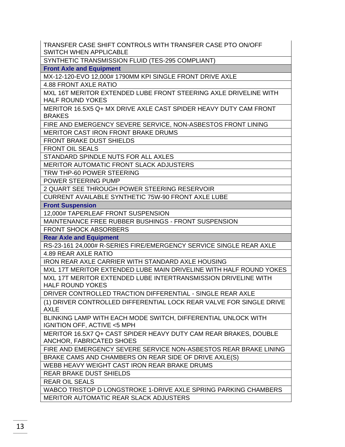TRANSFER CASE SHIFT CONTROLS WITH TRANSFER CASE PTO ON/OFF SWITCH WHEN APPLICABLE

SYNTHETIC TRANSMISSION FLUID (TES-295 COMPLIANT)

**Front Axle and Equipment**

MX-12-120-EVO 12,000# 1790MM KPI SINGLE FRONT DRIVE AXLE

4.88 FRONT AXLE RATIO

MXL 16T MERITOR EXTENDED LUBE FRONT STEERING AXLE DRIVELINE WITH HALF ROUND YOKES

MERITOR 16.5X5 Q+ MX DRIVE AXLE CAST SPIDER HEAVY DUTY CAM FRONT BRAKES

FIRE AND EMERGENCY SEVERE SERVICE, NON-ASBESTOS FRONT LINING

MERITOR CAST IRON FRONT BRAKE DRUMS

FRONT BRAKE DUST SHIELDS

FRONT OIL SEALS

STANDARD SPINDLE NUTS FOR ALL AXLES

MERITOR AUTOMATIC FRONT SLACK ADJUSTERS

TRW THP-60 POWER STEERING

POWER STEERING PUMP

2 QUART SEE THROUGH POWER STEERING RESERVOIR

CURRENT AVAILABLE SYNTHETIC 75W-90 FRONT AXLE LUBE

**Front Suspension**

12,000# TAPERLEAF FRONT SUSPENSION

MAINTENANCE FREE RUBBER BUSHINGS - FRONT SUSPENSION

FRONT SHOCK ABSORBERS

**Rear Axle and Equipment**

RS-23-161 24,000# R-SERIES FIRE/EMERGENCY SERVICE SINGLE REAR AXLE

4.89 REAR AXLE RATIO

IRON REAR AXLE CARRIER WITH STANDARD AXLE HOUSING

MXL 17T MERITOR EXTENDED LUBE MAIN DRIVELINE WITH HALF ROUND YOKES

MXL 17T MERITOR EXTENDED LUBE INTERTRANSMISSION DRIVELINE WITH HALF ROUND YOKES

DRIVER CONTROLLED TRACTION DIFFERENTIAL - SINGLE REAR AXLE

(1) DRIVER CONTROLLED DIFFERENTIAL LOCK REAR VALVE FOR SINGLE DRIVE AXLE

BLINKING LAMP WITH EACH MODE SWITCH, DIFFERENTIAL UNLOCK WITH IGNITION OFF, ACTIVE <5 MPH

MERITOR 16.5X7 Q+ CAST SPIDER HEAVY DUTY CAM REAR BRAKES, DOUBLE ANCHOR, FABRICATED SHOES

FIRE AND EMERGENCY SEVERE SERVICE NON-ASBESTOS REAR BRAKE LINING BRAKE CAMS AND CHAMBERS ON REAR SIDE OF DRIVE AXLE(S)

WEBB HEAVY WEIGHT CAST IRON REAR BRAKE DRUMS

REAR BRAKE DUST SHIELDS

REAR OIL SEALS

WABCO TRISTOP D LONGSTROKE 1-DRIVE AXLE SPRING PARKING CHAMBERS MERITOR AUTOMATIC REAR SLACK ADJUSTERS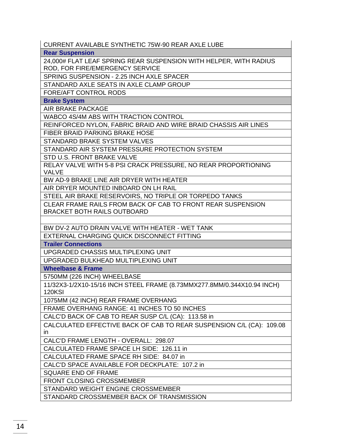CURRENT AVAILABLE SYNTHETIC 75W-90 REAR AXLE LUBE

**Rear Suspension**

24,000# FLAT LEAF SPRING REAR SUSPENSION WITH HELPER, WITH RADIUS ROD, FOR FIRE/EMERGENCY SERVICE

SPRING SUSPENSION - 2.25 INCH AXLE SPACER

STANDARD AXLE SEATS IN AXLE CLAMP GROUP

FORE/AFT CONTROL RODS

**Brake System**

AIR BRAKE PACKAGE

WABCO 4S/4M ABS WITH TRACTION CONTROL

REINFORCED NYLON, FABRIC BRAID AND WIRE BRAID CHASSIS AIR LINES

FIBER BRAID PARKING BRAKE HOSE

STANDARD BRAKE SYSTEM VALVES

STANDARD AIR SYSTEM PRESSURE PROTECTION SYSTEM

STD U.S. FRONT BRAKE VALVE

RELAY VALVE WITH 5-8 PSI CRACK PRESSURE, NO REAR PROPORTIONING VALVE

BW AD-9 BRAKE LINE AIR DRYER WITH HEATER

AIR DRYER MOUNTED INBOARD ON LH RAIL

STEEL AIR BRAKE RESERVOIRS, NO TRIPLE OR TORPEDO TANKS

CLEAR FRAME RAILS FROM BACK OF CAB TO FRONT REAR SUSPENSION BRACKET BOTH RAILS OUTBOARD

BW DV-2 AUTO DRAIN VALVE WITH HEATER - WET TANK

EXTERNAL CHARGING QUICK DISCONNECT FITTING

**Trailer Connections**

UPGRADED CHASSIS MULTIPLEXING UNIT

UPGRADED BULKHEAD MULTIPLEXING UNIT

**Wheelbase & Frame**

5750MM (226 INCH) WHEELBASE

11/32X3-1/2X10-15/16 INCH STEEL FRAME (8.73MMX277.8MM/0.344X10.94 INCH) 120KSI

1075MM (42 INCH) REAR FRAME OVERHANG

FRAME OVERHANG RANGE: 41 INCHES TO 50 INCHES

CALC'D BACK OF CAB TO REAR SUSP C/L (CA): 113.58 in

CALCULATED EFFECTIVE BACK OF CAB TO REAR SUSPENSION C/L (CA): 109.08 in

CALC'D FRAME LENGTH - OVERALL: 298.07

CALCULATED FRAME SPACE LH SIDE: 126.11 in

CALCULATED FRAME SPACE RH SIDE: 84.07 in

CALC'D SPACE AVAILABLE FOR DECKPLATE: 107.2 in

SQUARE END OF FRAME

FRONT CLOSING CROSSMEMBER

STANDARD WEIGHT ENGINE CROSSMEMBER

STANDARD CROSSMEMBER BACK OF TRANSMISSION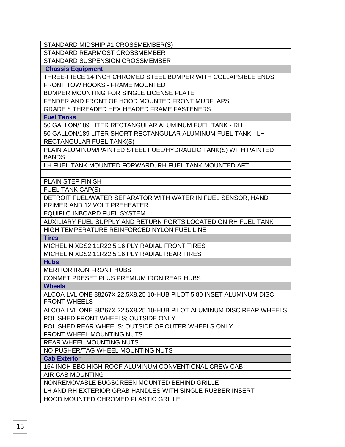STANDARD MIDSHIP #1 CROSSMEMBER(S)

STANDARD REARMOST CROSSMEMBER

STANDARD SUSPENSION CROSSMEMBER

**Chassis Equipment**

THREE-PIECE 14 INCH CHROMED STEEL BUMPER WITH COLLAPSIBLE ENDS

FRONT TOW HOOKS - FRAME MOUNTED

BUMPER MOUNTING FOR SINGLE LICENSE PLATE

FENDER AND FRONT OF HOOD MOUNTED FRONT MUDFLAPS

GRADE 8 THREADED HEX HEADED FRAME FASTENERS

**Fuel Tanks**

50 GALLON/189 LITER RECTANGULAR ALUMINUM FUEL TANK - RH

50 GALLON/189 LITER SHORT RECTANGULAR ALUMINUM FUEL TANK - LH RECTANGULAR FUEL TANK(S)

PLAIN ALUMINUM/PAINTED STEEL FUEL/HYDRAULIC TANK(S) WITH PAINTED BANDS

LH FUEL TANK MOUNTED FORWARD, RH FUEL TANK MOUNTED AFT

PLAIN STEP FINISH

FUEL TANK CAP(S)

DETROIT FUEL/WATER SEPARATOR WITH WATER IN FUEL SENSOR, HAND PRIMER AND 12 VOLT PREHEATER"

EQUIFLO INBOARD FUEL SYSTEM

AUXILIARY FUEL SUPPLY AND RETURN PORTS LOCATED ON RH FUEL TANK HIGH TEMPERATURE REINFORCED NYLON FUEL LINE

**Tires**

MICHELIN XDS2 11R22.5 16 PLY RADIAL FRONT TIRES MICHELIN XDS2 11R22.5 16 PLY RADIAL REAR TIRES

**Hubs**

MERITOR IRON FRONT HUBS

CONMET PRESET PLUS PREMIUM IRON REAR HUBS

**Wheels**

ALCOA LVL ONE 88267X 22.5X8.25 10-HUB PILOT 5.80 INSET ALUMINUM DISC FRONT WHEELS

ALCOA LVL ONE 88267X 22.5X8.25 10-HUB PILOT ALUMINUM DISC REAR WHEELS POLISHED FRONT WHEELS; OUTSIDE ONLY

POLISHED REAR WHEELS; OUTSIDE OF OUTER WHEELS ONLY

FRONT WHEEL MOUNTING NUTS

REAR WHEEL MOUNTING NUTS

NO PUSHER/TAG WHEEL MOUNTING NUTS

**Cab Exterior**

154 INCH BBC HIGH-ROOF ALUMINUM CONVENTIONAL CREW CAB

AIR CAB MOUNTING

NONREMOVABLE BUGSCREEN MOUNTED BEHIND GRILLE

LH AND RH EXTERIOR GRAB HANDLES WITH SINGLE RUBBER INSERT

HOOD MOUNTED CHROMED PLASTIC GRILLE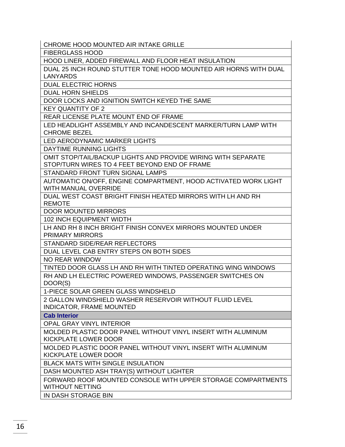CHROME HOOD MOUNTED AIR INTAKE GRILLE

FIBERGLASS HOOD

HOOD LINER, ADDED FIREWALL AND FLOOR HEAT INSULATION

DUAL 25 INCH ROUND STUTTER TONE HOOD MOUNTED AIR HORNS WITH DUAL LANYARDS

DUAL ELECTRIC HORNS

DUAL HORN SHIELDS

DOOR LOCKS AND IGNITION SWITCH KEYED THE SAME

KEY QUANTITY OF 2

REAR LICENSE PLATE MOUNT END OF FRAME

LED HEADLIGHT ASSEMBLY AND INCANDESCENT MARKER/TURN LAMP WITH CHROME BEZEL

LED AERODYNAMIC MARKER LIGHTS

DAYTIME RUNNING LIGHTS

OMIT STOP/TAIL/BACKUP LIGHTS AND PROVIDE WIRING WITH SEPARATE STOP/TURN WIRES TO 4 FEET BEYOND END OF FRAME

STANDARD FRONT TURN SIGNAL LAMPS

AUTOMATIC ON/OFF, ENGINE COMPARTMENT, HOOD ACTIVATED WORK LIGHT WITH MANUAL OVERRIDE

DUAL WEST COAST BRIGHT FINISH HEATED MIRRORS WITH LH AND RH REMOTE

DOOR MOUNTED MIRRORS

102 INCH EQUIPMENT WIDTH

LH AND RH 8 INCH BRIGHT FINISH CONVEX MIRRORS MOUNTED UNDER PRIMARY MIRRORS

STANDARD SIDE/REAR REFLECTORS

DUAL LEVEL CAB ENTRY STEPS ON BOTH SIDES

NO REAR WINDOW

TINTED DOOR GLASS LH AND RH WITH TINTED OPERATING WING WINDOWS

RH AND LH ELECTRIC POWERED WINDOWS, PASSENGER SWITCHES ON DOOR(S)

1-PIECE SOLAR GREEN GLASS WINDSHELD

2 GALLON WINDSHIELD WASHER RESERVOIR WITHOUT FLUID LEVEL INDICATOR, FRAME MOUNTED

**Cab Interior**

OPAL GRAY VINYL INTERIOR

MOLDED PLASTIC DOOR PANEL WITHOUT VINYL INSERT WITH ALUMINUM KICKPLATE LOWER DOOR

MOLDED PLASTIC DOOR PANEL WITHOUT VINYL INSERT WITH ALUMINUM KICKPLATE LOWER DOOR

BLACK MATS WITH SINGLE INSULATION

DASH MOUNTED ASH TRAY(S) WITHOUT LIGHTER

FORWARD ROOF MOUNTED CONSOLE WITH UPPER STORAGE COMPARTMENTS WITHOUT NETTING

IN DASH STORAGE BIN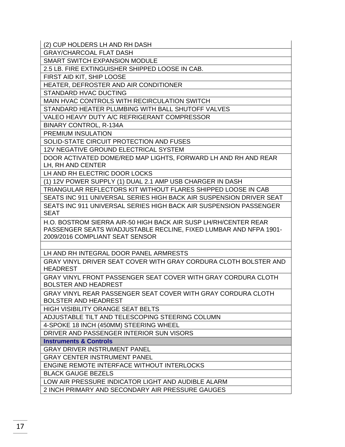(2) CUP HOLDERS LH AND RH DASH

GRAY/CHARCOAL FLAT DASH

SMART SWITCH EXPANSION MODULE

2.5 LB. FIRE EXTINGUISHER SHIPPED LOOSE IN CAB.

FIRST AID KIT, SHIP LOOSE

HEATER, DEFROSTER AND AIR CONDITIONER

STANDARD HVAC DUCTING

MAIN HVAC CONTROLS WITH RECIRCULATION SWITCH

STANDARD HEATER PLUMBING WITH BALL SHUTOFF VALVES

VALEO HEAVY DUTY A/C REFRIGERANT COMPRESSOR

BINARY CONTROL, R-134A

PREMIUM INSULATION

SOLID-STATE CIRCUIT PROTECTION AND FUSES

12V NEGATIVE GROUND ELECTRICAL SYSTEM

DOOR ACTIVATED DOME/RED MAP LIGHTS, FORWARD LH AND RH AND REAR LH, RH AND CENTER

LH AND RH ELECTRIC DOOR LOCKS

(1) 12V POWER SUPPLY (1) DUAL 2.1 AMP USB CHARGER IN DASH

TRIANGULAR REFLECTORS KIT WITHOUT FLARES SHIPPED LOOSE IN CAB

SEATS INC 911 UNIVERSAL SERIES HIGH BACK AIR SUSPENSION DRIVER SEAT

SEATS INC 911 UNIVERSAL SERIES HIGH BACK AIR SUSPENSION PASSENGER SEAT

H.O. BOSTROM SIERRA AIR-50 HIGH BACK AIR SUSP LH/RH/CENTER REAR PASSENGER SEATS W/ADJUSTABLE RECLINE, FIXED LUMBAR AND NFPA 1901- 2009/2016 COMPLIANT SEAT SENSOR

LH AND RH INTEGRAL DOOR PANEL ARMRESTS

GRAY VINYL DRIVER SEAT COVER WITH GRAY CORDURA CLOTH BOLSTER AND **HEADREST** 

GRAY VINYL FRONT PASSENGER SEAT COVER WITH GRAY CORDURA CLOTH BOLSTER AND HEADREST

GRAY VINYL REAR PASSENGER SEAT COVER WITH GRAY CORDURA CLOTH BOLSTER AND HEADREST

HIGH VISIBILITY ORANGE SEAT BELTS

ADJUSTABLE TILT AND TELESCOPING STEERING COLUMN

4-SPOKE 18 INCH (450MM) STEERING WHEEL

DRIVER AND PASSENGER INTERIOR SUN VISORS

**Instruments & Controls**

GRAY DRIVER INSTRUMENT PANEL

GRAY CENTER INSTRUMENT PANEL

ENGINE REMOTE INTERFACE WITHOUT INTERLOCKS

BLACK GAUGE BEZELS

LOW AIR PRESSURE INDICATOR LIGHT AND AUDIBLE ALARM

2 INCH PRIMARY AND SECONDARY AIR PRESSURE GAUGES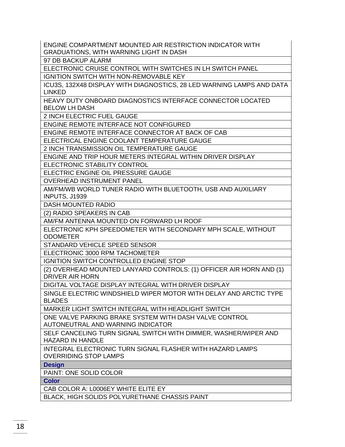ENGINE COMPARTMENT MOUNTED AIR RESTRICTION INDICATOR WITH GRADUATIONS, WITH WARNING LIGHT IN DASH

97 DB BACKUP ALARM

ELECTRONIC CRUISE CONTROL WITH SWITCHES IN LH SWITCH PANEL

IGNITION SWITCH WITH NON-REMOVABLE KEY

ICU3S, 132X48 DISPLAY WITH DIAGNOSTICS, 28 LED WARNING LAMPS AND DATA LINKED

HEAVY DUTY ONBOARD DIAGNOSTICS INTERFACE CONNECTOR LOCATED BELOW LH DASH

2 INCH ELECTRIC FUEL GAUGE

ENGINE REMOTE INTERFACE NOT CONFIGURED

ENGINE REMOTE INTERFACE CONNECTOR AT BACK OF CAB

ELECTRICAL ENGINE COOLANT TEMPERATURE GAUGE

2 INCH TRANSMISSION OIL TEMPERATURE GAUGE

ENGINE AND TRIP HOUR METERS INTEGRAL WITHIN DRIVER DISPLAY

ELECTRONIC STABILITY CONTROL

ELECTRIC ENGINE OIL PRESSURE GAUGE

OVERHEAD INSTRUMENT PANEL

AM/FM/WB WORLD TUNER RADIO WITH BLUETOOTH, USB AND AUXILIARY INPUTS, J1939

DASH MOUNTED RADIO

(2) RADIO SPEAKERS IN CAB

AM/FM ANTENNA MOUNTED ON FORWARD LH ROOF

ELECTRONIC KPH SPEEDOMETER WITH SECONDARY MPH SCALE, WITHOUT ODOMETER

STANDARD VEHICLE SPEED SENSOR

ELECTRONIC 3000 RPM TACHOMETER

IGNITION SWITCH CONTROLLED ENGINE STOP

(2) OVERHEAD MOUNTED LANYARD CONTROLS: (1) OFFICER AIR HORN AND (1) DRIVER AIR HORN

DIGITAL VOLTAGE DISPLAY INTEGRAL WITH DRIVER DISPLAY

SINGLE ELECTRIC WINDSHIELD WIPER MOTOR WITH DELAY AND ARCTIC TYPE BLADES

MARKER LIGHT SWITCH INTEGRAL WITH HEADLIGHT SWITCH

ONE VALVE PARKING BRAKE SYSTEM WITH DASH VALVE CONTROL AUTONEUTRAL AND WARNING INDICATOR

SELF CANCELING TURN SIGNAL SWITCH WITH DIMMER, WASHER/WIPER AND HAZARD IN HANDLE

INTEGRAL ELECTRONIC TURN SIGNAL FLASHER WITH HAZARD LAMPS OVERRIDING STOP LAMPS

**Design**

PAINT: ONE SOLID COLOR

**Color**

CAB COLOR A: L0006EY WHITE ELITE EY

BLACK, HIGH SOLIDS POLYURETHANE CHASSIS PAINT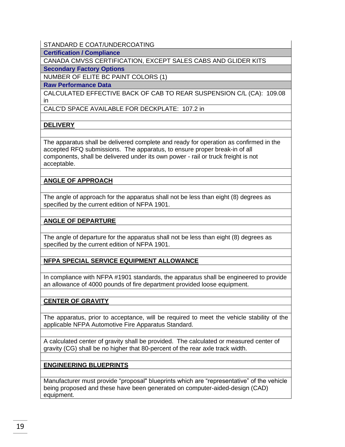## STANDARD E COAT/UNDERCOATING

**Certification / Compliance**

CANADA CMVSS CERTIFICATION, EXCEPT SALES CABS AND GLIDER KITS

**Secondary Factory Options**

NUMBER OF ELITE BC PAINT COLORS (1)

**Raw Performance Data**

CALCULATED EFFECTIVE BACK OF CAB TO REAR SUSPENSION C/L (CA): 109.08 in

CALC'D SPACE AVAILABLE FOR DECKPLATE: 107.2 in

# **DELIVERY**

The apparatus shall be delivered complete and ready for operation as confirmed in the accepted RFQ submissions. The apparatus, to ensure proper break-in of all components, shall be delivered under its own power - rail or truck freight is not acceptable.

# **ANGLE OF APPROACH**

The angle of approach for the apparatus shall not be less than eight (8) degrees as specified by the current edition of NFPA 1901.

# **ANGLE OF DEPARTURE**

The angle of departure for the apparatus shall not be less than eight (8) degrees as specified by the current edition of NFPA 1901.

# **NFPA SPECIAL SERVICE EQUIPMENT ALLOWANCE**

In compliance with NFPA #1901 standards, the apparatus shall be engineered to provide an allowance of 4000 pounds of fire department provided loose equipment.

# **CENTER OF GRAVITY**

The apparatus, prior to acceptance, will be required to meet the vehicle stability of the applicable NFPA Automotive Fire Apparatus Standard.

A calculated center of gravity shall be provided. The calculated or measured center of gravity (CG) shall be no higher that 80-percent of the rear axle track width.

# **ENGINEERING BLUEPRINTS**

Manufacturer must provide "proposal" blueprints which are "representative" of the vehicle being proposed and these have been generated on computer-aided-design (CAD) equipment.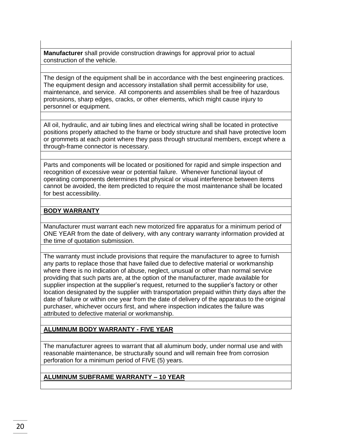**Manufacturer** shall provide construction drawings for approval prior to actual construction of the vehicle.

The design of the equipment shall be in accordance with the best engineering practices. The equipment design and accessory installation shall permit accessibility for use, maintenance, and service. All components and assemblies shall be free of hazardous protrusions, sharp edges, cracks, or other elements, which might cause injury to personnel or equipment.

All oil, hydraulic, and air tubing lines and electrical wiring shall be located in protective positions properly attached to the frame or body structure and shall have protective loom or grommets at each point where they pass through structural members, except where a through-frame connector is necessary.

Parts and components will be located or positioned for rapid and simple inspection and recognition of excessive wear or potential failure. Whenever functional layout of operating components determines that physical or visual interference between items cannot be avoided, the item predicted to require the most maintenance shall be located for best accessibility.

#### **BODY WARRANTY**

Manufacturer must warrant each new motorized fire apparatus for a minimum period of ONE YEAR from the date of delivery, with any contrary warranty information provided at the time of quotation submission.

The warranty must include provisions that require the manufacturer to agree to furnish any parts to replace those that have failed due to defective material or workmanship where there is no indication of abuse, neglect, unusual or other than normal service providing that such parts are, at the option of the manufacturer, made available for supplier inspection at the supplier's request, returned to the supplier's factory or other location designated by the supplier with transportation prepaid within thirty days after the date of failure or within one year from the date of delivery of the apparatus to the original purchaser, whichever occurs first, and where inspection indicates the failure was attributed to defective material or workmanship.

# **ALUMINUM BODY WARRANTY - FIVE YEAR**

The manufacturer agrees to warrant that all aluminum body, under normal use and with reasonable maintenance, be structurally sound and will remain free from corrosion perforation for a minimum period of FIVE (5) years.

# **ALUMINUM SUBFRAME WARRANTY – 10 YEAR**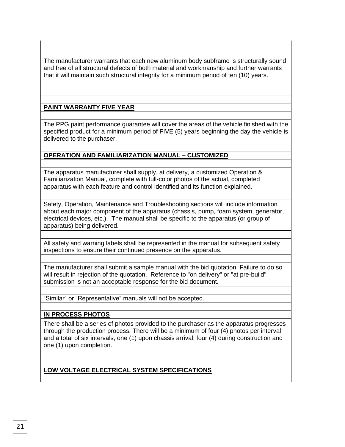The manufacturer warrants that each new aluminum body subframe is structurally sound and free of all structural defects of both material and workmanship and further warrants that it will maintain such structural integrity for a minimum period of ten (10) years.

# **PAINT WARRANTY FIVE YEAR**

The PPG paint performance guarantee will cover the areas of the vehicle finished with the specified product for a minimum period of FIVE (5) years beginning the day the vehicle is delivered to the purchaser.

#### **OPERATION AND FAMILIARIZATION MANUAL – CUSTOMIZED**

The apparatus manufacturer shall supply, at delivery, a customized Operation & Familiarization Manual, complete with full-color photos of the actual, completed apparatus with each feature and control identified and its function explained.

Safety, Operation, Maintenance and Troubleshooting sections will include information about each major component of the apparatus (chassis, pump, foam system, generator, electrical devices, etc.). The manual shall be specific to the apparatus (or group of apparatus) being delivered.

All safety and warning labels shall be represented in the manual for subsequent safety inspections to ensure their continued presence on the apparatus.

The manufacturer shall submit a sample manual with the bid quotation. Failure to do so will result in rejection of the quotation. Reference to "on delivery" or "at pre-build" submission is not an acceptable response for the bid document.

"Similar" or "Representative" manuals will not be accepted.

# **IN PROCESS PHOTOS**

There shall be a series of photos provided to the purchaser as the apparatus progresses through the production process. There will be a minimum of four (4) photos per interval and a total of six intervals, one (1) upon chassis arrival, four (4) during construction and one (1) upon completion.

# **LOW VOLTAGE ELECTRICAL SYSTEM SPECIFICATIONS**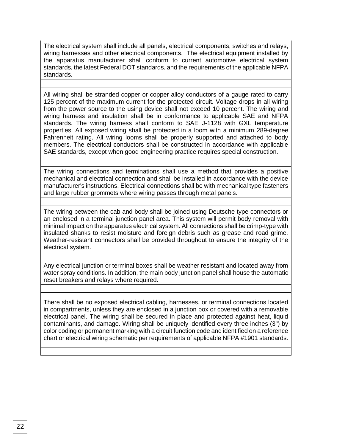The electrical system shall include all panels, electrical components, switches and relays, wiring harnesses and other electrical components. The electrical equipment installed by the apparatus manufacturer shall conform to current automotive electrical system standards, the latest Federal DOT standards, and the requirements of the applicable NFPA standards.

All wiring shall be stranded copper or copper alloy conductors of a gauge rated to carry 125 percent of the maximum current for the protected circuit. Voltage drops in all wiring from the power source to the using device shall not exceed 10 percent. The wiring and wiring harness and insulation shall be in conformance to applicable SAE and NFPA standards. The wiring harness shall conform to SAE J-1128 with GXL temperature properties. All exposed wiring shall be protected in a loom with a minimum 289-degree Fahrenheit rating. All wiring looms shall be properly supported and attached to body members. The electrical conductors shall be constructed in accordance with applicable SAE standards, except when good engineering practice requires special construction.

The wiring connections and terminations shall use a method that provides a positive mechanical and electrical connection and shall be installed in accordance with the device manufacturer's instructions. Electrical connections shall be with mechanical type fasteners and large rubber grommets where wiring passes through metal panels.

The wiring between the cab and body shall be joined using Deutsche type connectors or an enclosed in a terminal junction panel area. This system will permit body removal with minimal impact on the apparatus electrical system. All connections shall be crimp-type with insulated shanks to resist moisture and foreign debris such as grease and road grime. Weather-resistant connectors shall be provided throughout to ensure the integrity of the electrical system.

Any electrical junction or terminal boxes shall be weather resistant and located away from water spray conditions. In addition, the main body junction panel shall house the automatic reset breakers and relays where required.

There shall be no exposed electrical cabling, harnesses, or terminal connections located in compartments, unless they are enclosed in a junction box or covered with a removable electrical panel. The wiring shall be secured in place and protected against heat, liquid contaminants, and damage. Wiring shall be uniquely identified every three inches (3") by color coding or permanent marking with a circuit function code and identified on a reference chart or electrical wiring schematic per requirements of applicable NFPA #1901 standards.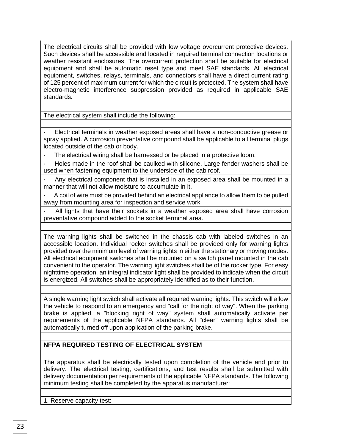The electrical circuits shall be provided with low voltage overcurrent protective devices. Such devices shall be accessible and located in required terminal connection locations or weather resistant enclosures. The overcurrent protection shall be suitable for electrical equipment and shall be automatic reset type and meet SAE standards. All electrical equipment, switches, relays, terminals, and connectors shall have a direct current rating of 125 percent of maximum current for which the circuit is protected. The system shall have electro-magnetic interference suppression provided as required in applicable SAE standards.

The electrical system shall include the following:

Electrical terminals in weather exposed areas shall have a non-conductive grease or spray applied. A corrosion preventative compound shall be applicable to all terminal plugs located outside of the cab or body.

The electrical wiring shall be harnessed or be placed in a protective loom.

· Holes made in the roof shall be caulked with silicone. Large fender washers shall be used when fastening equipment to the underside of the cab roof.

Any electrical component that is installed in an exposed area shall be mounted in a manner that will not allow moisture to accumulate in it.

· A coil of wire must be provided behind an electrical appliance to allow them to be pulled away from mounting area for inspection and service work.

All lights that have their sockets in a weather exposed area shall have corrosion preventative compound added to the socket terminal area.

The warning lights shall be switched in the chassis cab with labeled switches in an accessible location. Individual rocker switches shall be provided only for warning lights provided over the minimum level of warning lights in either the stationary or moving modes. All electrical equipment switches shall be mounted on a switch panel mounted in the cab convenient to the operator. The warning light switches shall be of the rocker type. For easy nighttime operation, an integral indicator light shall be provided to indicate when the circuit is energized. All switches shall be appropriately identified as to their function.

A single warning light switch shall activate all required warning lights. This switch will allow the vehicle to respond to an emergency and "call for the right of way". When the parking brake is applied, a "blocking right of way" system shall automatically activate per requirements of the applicable NFPA standards. All "clear" warning lights shall be automatically turned off upon application of the parking brake.

#### **NFPA REQUIRED TESTING OF ELECTRICAL SYSTEM**

The apparatus shall be electrically tested upon completion of the vehicle and prior to delivery. The electrical testing, certifications, and test results shall be submitted with delivery documentation per requirements of the applicable NFPA standards. The following minimum testing shall be completed by the apparatus manufacturer:

1. Reserve capacity test: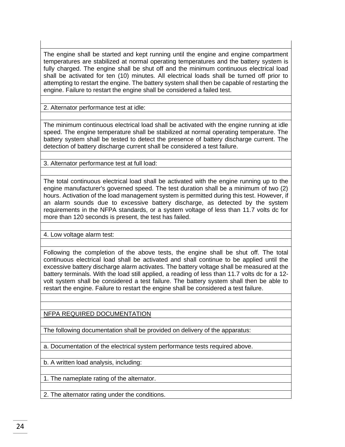The engine shall be started and kept running until the engine and engine compartment temperatures are stabilized at normal operating temperatures and the battery system is fully charged. The engine shall be shut off and the minimum continuous electrical load shall be activated for ten (10) minutes. All electrical loads shall be turned off prior to attempting to restart the engine. The battery system shall then be capable of restarting the engine. Failure to restart the engine shall be considered a failed test.

2. Alternator performance test at idle:

The minimum continuous electrical load shall be activated with the engine running at idle speed. The engine temperature shall be stabilized at normal operating temperature. The battery system shall be tested to detect the presence of battery discharge current. The detection of battery discharge current shall be considered a test failure.

3. Alternator performance test at full load:

The total continuous electrical load shall be activated with the engine running up to the engine manufacturer's governed speed. The test duration shall be a minimum of two (2) hours. Activation of the load management system is permitted during this test. However, if an alarm sounds due to excessive battery discharge, as detected by the system requirements in the NFPA standards, or a system voltage of less than 11.7 volts dc for more than 120 seconds is present, the test has failed.

4. Low voltage alarm test:

Following the completion of the above tests, the engine shall be shut off. The total continuous electrical load shall be activated and shall continue to be applied until the excessive battery discharge alarm activates. The battery voltage shall be measured at the battery terminals. With the load still applied, a reading of less than 11.7 volts dc for a 12 volt system shall be considered a test failure. The battery system shall then be able to restart the engine. Failure to restart the engine shall be considered a test failure.

NFPA REQUIRED DOCUMENTATION

The following documentation shall be provided on delivery of the apparatus:

a. Documentation of the electrical system performance tests required above.

b. A written load analysis, including:

1. The nameplate rating of the alternator.

2. The alternator rating under the conditions.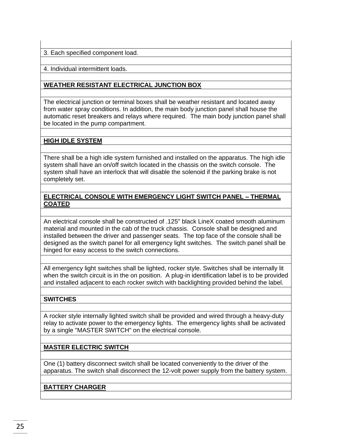3. Each specified component load.

4. Individual intermittent loads.

# **WEATHER RESISTANT ELECTRICAL JUNCTION BOX**

The electrical junction or terminal boxes shall be weather resistant and located away from water spray conditions. In addition, the main body junction panel shall house the automatic reset breakers and relays where required. The main body junction panel shall be located in the pump compartment.

#### **HIGH IDLE SYSTEM**

There shall be a high idle system furnished and installed on the apparatus. The high idle system shall have an on/off switch located in the chassis on the switch console. The system shall have an interlock that will disable the solenoid if the parking brake is not completely set.

#### **ELECTRICAL CONSOLE WITH EMERGENCY LIGHT SWITCH PANEL – THERMAL COATED**

An electrical console shall be constructed of .125" black LineX coated smooth aluminum material and mounted in the cab of the truck chassis. Console shall be designed and installed between the driver and passenger seats. The top face of the console shall be designed as the switch panel for all emergency light switches. The switch panel shall be hinged for easy access to the switch connections.

All emergency light switches shall be lighted, rocker style. Switches shall be internally lit when the switch circuit is in the on position. A plug-in identification label is to be provided and installed adjacent to each rocker switch with backlighting provided behind the label.

# **SWITCHES**

A rocker style internally lighted switch shall be provided and wired through a heavy-duty relay to activate power to the emergency lights. The emergency lights shall be activated by a single "MASTER SWITCH" on the electrical console.

# **MASTER ELECTRIC SWITCH**

One (1) battery disconnect switch shall be located conveniently to the driver of the apparatus. The switch shall disconnect the 12-volt power supply from the battery system.

# **BATTERY CHARGER**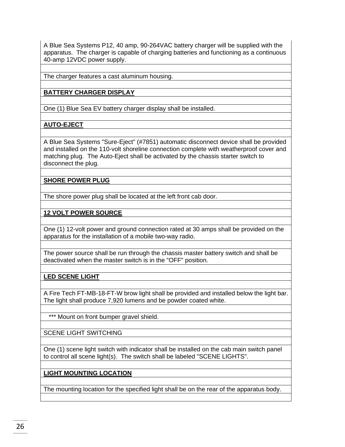A Blue Sea Systems P12, 40 amp, 90-264VAC battery charger will be supplied with the apparatus. The charger is capable of charging batteries and functioning as a continuous 40-amp 12VDC power supply.

The charger features a cast aluminum housing.

## **BATTERY CHARGER DISPLAY**

One (1) Blue Sea EV battery charger display shall be installed.

# **AUTO-EJECT**

A Blue Sea Systems "Sure-Eject" (#7851) automatic disconnect device shall be provided and installed on the 110-volt shoreline connection complete with weatherproof cover and matching plug. The Auto-Eject shall be activated by the chassis starter switch to disconnect the plug.

#### **SHORE POWER PLUG**

The shore power plug shall be located at the left front cab door.

#### **12 VOLT POWER SOURCE**

One (1) 12-volt power and ground connection rated at 30 amps shall be provided on the apparatus for the installation of a mobile two-way radio.

The power source shall be run through the chassis master battery switch and shall be deactivated when the master switch is in the "OFF" position.

**LED SCENE LIGHT**

A Fire Tech FT-MB-18-FT-W brow light shall be provided and installed below the light bar. The light shall produce 7,920 lumens and be powder coated white.

\*\*\* Mount on front bumper gravel shield.

SCENE LIGHT SWITCHING

One (1) scene light switch with indicator shall be installed on the cab main switch panel to control all scene light(s). The switch shall be labeled "SCENE LIGHTS".

#### **LIGHT MOUNTING LOCATION**

The mounting location for the specified light shall be on the rear of the apparatus body.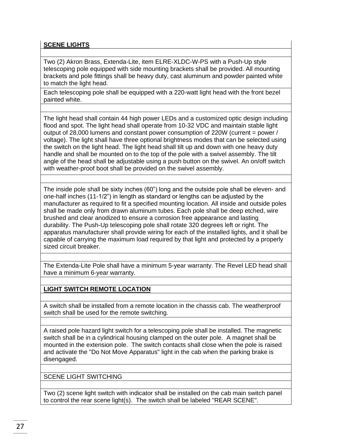# **SCENE LIGHTS**

Two (2) Akron Brass, Extenda-Lite, item ELRE-XLDC-W-PS with a Push-Up style telescoping pole equipped with side mounting brackets shall be provided. All mounting brackets and pole fittings shall be heavy duty, cast aluminum and powder painted white to match the light head.

Each telescoping pole shall be equipped with a 220-watt light head with the front bezel painted white.

The light head shall contain 44 high power LEDs and a customized optic design including flood and spot. The light head shall operate from 10-32 VDC and maintain stable light output of 28,000 lumens and constant power consumption of 220W (current = power / voltage). The light shall have three optional brightness modes that can be selected using the switch on the light head. The light head shall tilt up and down with one heavy duty handle and shall be mounted on to the top of the pole with a swivel assembly. The tilt angle of the head shall be adjustable using a push button on the swivel. An on/off switch with weather-proof boot shall be provided on the swivel assembly.

The inside pole shall be sixty inches (60") long and the outside pole shall be eleven- and one-half inches (11-1/2") in length as standard or lengths can be adjusted by the manufacturer as required to fit a specified mounting location. All inside and outside poles shall be made only from drawn aluminum tubes. Each pole shall be deep etched, wire brushed and clear anodized to ensure a corrosion free appearance and lasting durability. The Push-Up telescoping pole shall rotate 320 degrees left or right. The apparatus manufacturer shall provide wiring for each of the installed lights, and it shall be capable of carrying the maximum load required by that light and protected by a properly sized circuit breaker.

The Extenda-Lite Pole shall have a minimum 5-year warranty. The Revel LED head shall have a minimum 6-year warranty.

# **LIGHT SWITCH REMOTE LOCATION**

A switch shall be installed from a remote location in the chassis cab. The weatherproof switch shall be used for the remote switching.

A raised pole hazard light switch for a telescoping pole shall be installed. The magnetic switch shall be in a cylindrical housing clamped on the outer pole. A magnet shall be mounted in the extension pole. The switch contacts shall close when the pole is raised and activate the "Do Not Move Apparatus" light in the cab when the parking brake is disengaged.

SCENE LIGHT SWITCHING

Two (2) scene light switch with indicator shall be installed on the cab main switch panel to control the rear scene light(s). The switch shall be labeled "REAR SCENE".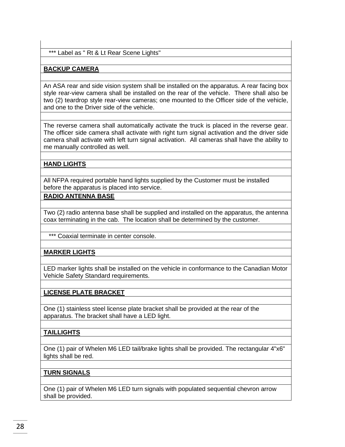\*\*\* Label as " Rt & Lt Rear Scene Lights"

#### **BACKUP CAMERA**

An ASA rear and side vision system shall be installed on the apparatus. A rear facing box style rear-view camera shall be installed on the rear of the vehicle. There shall also be two (2) teardrop style rear-view cameras; one mounted to the Officer side of the vehicle, and one to the Driver side of the vehicle.

The reverse camera shall automatically activate the truck is placed in the reverse gear. The officer side camera shall activate with right turn signal activation and the driver side camera shall activate with left turn signal activation. All cameras shall have the ability to me manually controlled as well.

# **HAND LIGHTS**

All NFPA required portable hand lights supplied by the Customer must be installed before the apparatus is placed into service.

#### **RADIO ANTENNA BASE**

Two (2) radio antenna base shall be supplied and installed on the apparatus, the antenna coax terminating in the cab. The location shall be determined by the customer.

\*\*\* Coaxial terminate in center console.

#### **MARKER LIGHTS**

LED marker lights shall be installed on the vehicle in conformance to the Canadian Motor Vehicle Safety Standard requirements.

#### **LICENSE PLATE BRACKET**

One (1) stainless steel license plate bracket shall be provided at the rear of the apparatus. The bracket shall have a LED light.

#### **TAILLIGHTS**

One (1) pair of Whelen M6 LED tail/brake lights shall be provided. The rectangular 4"x6" lights shall be red.

#### **TURN SIGNALS**

One (1) pair of Whelen M6 LED turn signals with populated sequential chevron arrow shall be provided.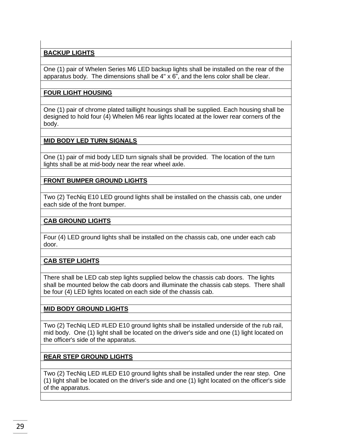# **BACKUP LIGHTS**

One (1) pair of Whelen Series M6 LED backup lights shall be installed on the rear of the apparatus body. The dimensions shall be  $4" \times 6"$ , and the lens color shall be clear.

# **FOUR LIGHT HOUSING**

One (1) pair of chrome plated taillight housings shall be supplied. Each housing shall be designed to hold four (4) Whelen M6 rear lights located at the lower rear corners of the body.

# **MID BODY LED TURN SIGNALS**

One (1) pair of mid body LED turn signals shall be provided. The location of the turn lights shall be at mid-body near the rear wheel axle.

# **FRONT BUMPER GROUND LIGHTS**

Two (2) TecNiq E10 LED ground lights shall be installed on the chassis cab, one under each side of the front bumper.

# **CAB GROUND LIGHTS**

Four (4) LED ground lights shall be installed on the chassis cab, one under each cab door.

# **CAB STEP LIGHTS**

There shall be LED cab step lights supplied below the chassis cab doors. The lights shall be mounted below the cab doors and illuminate the chassis cab steps. There shall be four (4) LED lights located on each side of the chassis cab.

# **MID BODY GROUND LIGHTS**

Two (2) TecNiq LED #LED E10 ground lights shall be installed underside of the rub rail, mid body. One (1) light shall be located on the driver's side and one (1) light located on the officer's side of the apparatus.

# **REAR STEP GROUND LIGHTS**

Two (2) TecNiq LED #LED E10 ground lights shall be installed under the rear step. One (1) light shall be located on the driver's side and one (1) light located on the officer's side of the apparatus.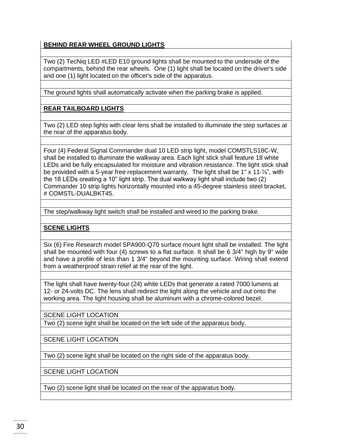# **BEHIND REAR WHEEL GROUND LIGHTS**

Two (2) TecNiq LED #LED E10 ground lights shall be mounted to the underside of the compartments, behind the rear wheels. One (1) light shall be located on the driver's side and one (1) light located on the officer's side of the apparatus.

The ground lights shall automatically activate when the parking brake is applied.

# **REAR TAILBOARD LIGHTS**

Two (2) LED step lights with clear lens shall be installed to illuminate the step surfaces at the rear of the apparatus body.

Four (4) Federal Signal Commander dual 10 LED strip light, model COMSTLS18C-W, shall be installed to illuminate the walkway area. Each light stick shall feature 18 white LEDs and be fully encapsulated for moisture and vibration resistance. The light stick shall be provided with a 5-year free replacement warranty. The light shall be 1" x 11-1/2", with the 18 LEDs creating a 10" light strip. The dual walkway light shall include two (2) Commander 10 strip lights horizontally mounted into a 45-degree stainless steel bracket, # COMSTL-DUALBKT45.

The step/walkway light switch shall be installed and wired to the parking brake.

# **SCENE LIGHTS**

Six (6) Fire Research model SPA900-Q70 surface mount light shall be installed. The light shall be mounted with four (4) screws to a flat surface. It shall be 6 3/4" high by 9" wide and have a profile of less than 1 3/4" beyond the mounting surface. Wiring shall extend from a weatherproof strain relief at the rear of the light.

The light shall have twenty-four (24) white LEDs that generate a rated 7000 lumens at 12- or 24-volts DC. The lens shall redirect the light along the vehicle and out onto the working area. The light housing shall be aluminum with a chrome-colored bezel.

SCENE LIGHT LOCATION

Two (2) scene light shall be located on the left side of the apparatus body.

SCENE LIGHT LOCATION

Two (2) scene light shall be located on the right side of the apparatus body.

SCENE LIGHT LOCATION

Two (2) scene light shall be located on the rear of the apparatus body.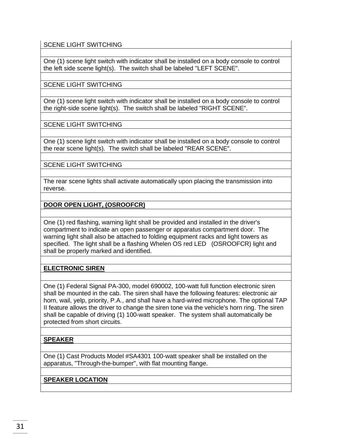SCENE LIGHT SWITCHING

One (1) scene light switch with indicator shall be installed on a body console to control the left side scene light(s). The switch shall be labeled "LEFT SCENE".

SCENE LIGHT SWITCHING

One (1) scene light switch with indicator shall be installed on a body console to control the right-side scene light(s). The switch shall be labeled "RIGHT SCENE".

SCENE LIGHT SWITCHING

One (1) scene light switch with indicator shall be installed on a body console to control the rear scene light(s). The switch shall be labeled "REAR SCENE".

SCENE LIGHT SWITCHING

The rear scene lights shall activate automatically upon placing the transmission into reverse.

**DOOR OPEN LIGHT, (OSROOFCR)**

One (1) red flashing, warning light shall be provided and installed in the driver's compartment to indicate an open passenger or apparatus compartment door. The warning light shall also be attached to folding equipment racks and light towers as specified. The light shall be a flashing Whelen OS red LED (OSROOFCR) light and shall be properly marked and identified.

# **ELECTRONIC SIREN**

One (1) Federal Signal PA-300, model 690002, 100-watt full function electronic siren shall be mounted in the cab. The siren shall have the following features: electronic air horn, wail, yelp, priority, P.A., and shall have a hard-wired microphone. The optional TAP II feature allows the driver to change the siren tone via the vehicle's horn ring. The siren shall be capable of driving (1) 100-watt speaker. The system shall automatically be protected from short circuits.

# **SPEAKER**

One (1) Cast Products Model #SA4301 100-watt speaker shall be installed on the apparatus, "Through-the-bumper", with flat mounting flange.

# **SPEAKER LOCATION**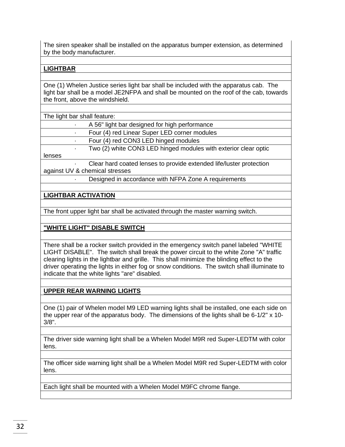The siren speaker shall be installed on the apparatus bumper extension, as determined by the body manufacturer.

#### **LIGHTBAR**

One (1) Whelen Justice series light bar shall be included with the apparatus cab. The light bar shall be a model JE2NFPA and shall be mounted on the roof of the cab, towards the front, above the windshield.

| The light bar shall feature:   |                                                                     |  |  |  |
|--------------------------------|---------------------------------------------------------------------|--|--|--|
|                                | A 56" light bar designed for high performance                       |  |  |  |
|                                | Four (4) red Linear Super LED corner modules                        |  |  |  |
|                                | Four (4) red CON3 LED hinged modules                                |  |  |  |
| $\bullet$                      | Two (2) white CON3 LED hinged modules with exterior clear optic     |  |  |  |
| lenses                         |                                                                     |  |  |  |
|                                | Clear hard coated lenses to provide extended life/luster protection |  |  |  |
| against UV & chemical stresses |                                                                     |  |  |  |
|                                | Designed in accordance with NFPA Zone A requirements                |  |  |  |

#### **LIGHTBAR ACTIVATION**

The front upper light bar shall be activated through the master warning switch.

#### **"WHITE LIGHT" DISABLE SWITCH**

There shall be a rocker switch provided in the emergency switch panel labeled "WHITE LIGHT DISABLE". The switch shall break the power circuit to the white Zone "A" traffic clearing lights in the lightbar and grille. This shall minimize the blinding effect to the driver operating the lights in either fog or snow conditions. The switch shall illuminate to indicate that the white lights "are" disabled.

#### **UPPER REAR WARNING LIGHTS**

One (1) pair of Whelen model M9 LED warning lights shall be installed, one each side on the upper rear of the apparatus body. The dimensions of the lights shall be 6-1/2" x 10- 3/8".

The driver side warning light shall be a Whelen Model M9R red Super-LEDTM with color lens.

The officer side warning light shall be a Whelen Model M9R red Super-LEDTM with color lens.

Each light shall be mounted with a Whelen Model M9FC chrome flange.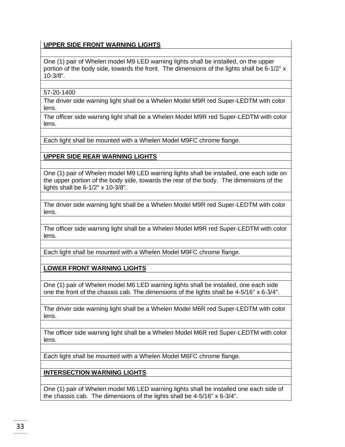# **UPPER SIDE FRONT WARNING LIGHTS**

One (1) pair of Whelen model M9 LED warning lights shall be installed, on the upper portion of the body side, towards the front. The dimensions of the lights shall be 6-1/2" x 10-3/8".

#### 57-20-1400

The driver side warning light shall be a Whelen Model M9R red Super-LEDTM with color lens.

The officer side warning light shall be a Whelen Model M9R red Super-LEDTM with color lens.

Each light shall be mounted with a Whelen Model M9FC chrome flange.

#### **UPPER SIDE REAR WARNING LIGHTS**

One (1) pair of Whelen model M9 LED warning lights shall be installed, one each side on the upper portion of the body side, towards the rear of the body. The dimensions of the lights shall be 6-1/2" x 10-3/8".

The driver side warning light shall be a Whelen Model M9R red Super-LEDTM with color lens.

The officer side warning light shall be a Whelen Model M9R red Super-LEDTM with color lens.

Each light shall be mounted with a Whelen Model M9FC chrome flange.

**LOWER FRONT WARNING LIGHTS**

One (1) pair of Whelen model M6 LED warning lights shall be installed, one each side one the front of the chassis cab. The dimensions of the lights shall be 4-5/16" x 6-3/4".

The driver side warning light shall be a Whelen Model M6R red Super-LEDTM with color lens.

The officer side warning light shall be a Whelen Model M6R red Super-LEDTM with color lens.

Each light shall be mounted with a Whelen Model M6FC chrome flange.

**INTERSECTION WARNING LIGHTS**

One (1) pair of Whelen model M6 LED warning lights shall be installed one each side of the chassis cab. The dimensions of the lights shall be 4-5/16" x 6-3/4".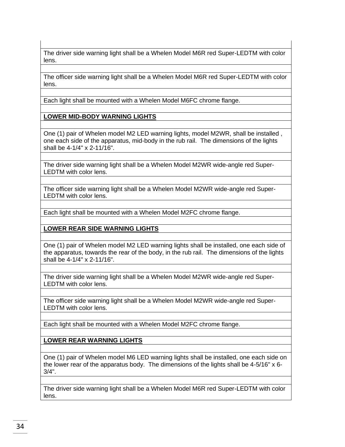The driver side warning light shall be a Whelen Model M6R red Super-LEDTM with color lens.

The officer side warning light shall be a Whelen Model M6R red Super-LEDTM with color lens.

Each light shall be mounted with a Whelen Model M6FC chrome flange.

# **LOWER MID-BODY WARNING LIGHTS**

One (1) pair of Whelen model M2 LED warning lights, model M2WR, shall be installed , one each side of the apparatus, mid-body in the rub rail. The dimensions of the lights shall be 4-1/4" x 2-11/16".

The driver side warning light shall be a Whelen Model M2WR wide-angle red Super-LEDTM with color lens.

The officer side warning light shall be a Whelen Model M2WR wide-angle red Super-LEDTM with color lens.

Each light shall be mounted with a Whelen Model M2FC chrome flange.

# **LOWER REAR SIDE WARNING LIGHTS**

One (1) pair of Whelen model M2 LED warning lights shall be installed, one each side of the apparatus, towards the rear of the body, in the rub rail. The dimensions of the lights shall be 4-1/4" x 2-11/16".

The driver side warning light shall be a Whelen Model M2WR wide-angle red Super-LEDTM with color lens.

The officer side warning light shall be a Whelen Model M2WR wide-angle red Super-LEDTM with color lens.

Each light shall be mounted with a Whelen Model M2FC chrome flange.

**LOWER REAR WARNING LIGHTS**

One (1) pair of Whelen model M6 LED warning lights shall be installed, one each side on the lower rear of the apparatus body. The dimensions of the lights shall be 4-5/16" x 6- 3/4".

The driver side warning light shall be a Whelen Model M6R red Super-LEDTM with color lens.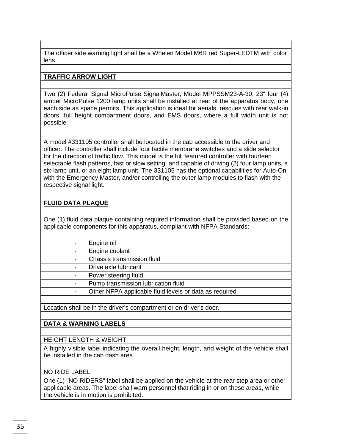The officer side warning light shall be a Whelen Model M6R red Super-LEDTM with color lens.

#### **TRAFFIC ARROW LIGHT**

Two (2) Federal Signal MicroPulse SignalMaster, Model MPPSSM23-A-30, 23" four (4) amber MicroPulse 1200 lamp units shall be installed at rear of the apparatus body, one each side as space permits. This application is ideal for aerials, rescues with rear walk-in doors, full height compartment doors, and EMS doors, where a full width unit is not possible.

A model #331105 controller shall be located in the cab accessible to the driver and officer. The controller shall include four tactile membrane switches and a slide selector for the direction of traffic flow. This model is the full featured controller with fourteen selectable flash patterns, fast or slow setting, and capable of driving (2) four lamp units, a six-lamp unit, or an eight lamp unit. The 331105 has the optional capabilities for Auto-On with the Emergency Master, and/or controlling the outer lamp modules to flash with the respective signal light.

# **FLUID DATA PLAQUE**

One (1) fluid data plaque containing required information shall be provided based on the applicable components for this apparatus, compliant with NFPA Standards:

|  | Engine oil |
|--|------------|

· Engine coolant

· Chassis transmission fluid

· Drive axle lubricant

Power steering fluid

· Pump transmission lubrication fluid

Other NFPA applicable fluid levels or data as required

Location shall be in the driver's compartment or on driver's door.

# **DATA & WARNING LABELS**

# HEIGHT LENGTH & WEIGHT

A highly visible label indicating the overall height, length, and weight of the vehicle shall be installed in the cab dash area.

#### NO RIDE LABEL

One (1) "NO RIDERS" label shall be applied on the vehicle at the rear step area or other applicable areas. The label shall warn personnel that riding in or on these areas, while the vehicle is in motion is prohibited.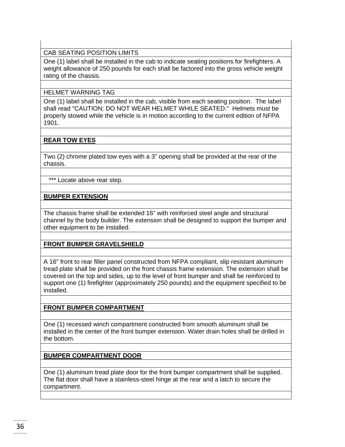#### CAB SEATING POSITION LIMITS

One (1) label shall be installed in the cab to indicate seating positions for firefighters. A weight allowance of 250 pounds for each shall be factored into the gross vehicle weight rating of the chassis.

#### HELMET WARNING TAG

One (1) label shall be installed in the cab, visible from each seating position. The label shall read "CAUTION: DO NOT WEAR HELMET WHILE SEATED." Helmets must be properly stowed while the vehicle is in motion according to the current edition of NFPA 1901.

# **REAR TOW EYES**

Two (2) chrome plated tow eyes with a 3" opening shall be provided at the rear of the chassis.

\*\*\* Locate above rear step.

#### **BUMPER EXTENSION**

The chassis frame shall be extended 16" with reinforced steel angle and structural channel by the body builder. The extension shall be designed to support the bumper and other equipment to be installed.

#### **FRONT BUMPER GRAVELSHIELD**

A 16" front to rear filler panel constructed from NFPA compliant, slip resistant aluminum tread plate shall be provided on the front chassis frame extension. The extension shall be covered on the top and sides, up to the level of front bumper and shall be reinforced to support one (1) firefighter (approximately 250 pounds) and the equipment specified to be installed.

#### **FRONT BUMPER COMPARTMENT**

One (1) recessed winch compartment constructed from smooth aluminum shall be installed in the center of the front bumper extension. Water drain holes shall be drilled in the bottom.

#### **BUMPER COMPARTMENT DOOR**

One (1) aluminum tread plate door for the front bumper compartment shall be supplied. The flat door shall have a stainless-steel hinge at the rear and a latch to secure the compartment.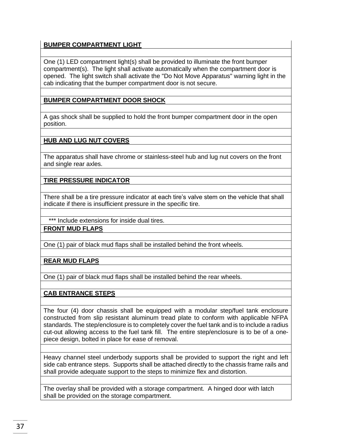# **BUMPER COMPARTMENT LIGHT**

One (1) LED compartment light(s) shall be provided to illuminate the front bumper compartment(s). The light shall activate automatically when the compartment door is opened. The light switch shall activate the "Do Not Move Apparatus" warning light in the cab indicating that the bumper compartment door is not secure.

# **BUMPER COMPARTMENT DOOR SHOCK**

A gas shock shall be supplied to hold the front bumper compartment door in the open position.

# **HUB AND LUG NUT COVERS**

The apparatus shall have chrome or stainless-steel hub and lug nut covers on the front and single rear axles.

**TIRE PRESSURE INDICATOR**

There shall be a tire pressure indicator at each tire's valve stem on the vehicle that shall indicate if there is insufficient pressure in the specific tire.

\*\*\* Include extensions for inside dual tires.

**FRONT MUD FLAPS**

One (1) pair of black mud flaps shall be installed behind the front wheels.

**REAR MUD FLAPS**

One (1) pair of black mud flaps shall be installed behind the rear wheels.

# **CAB ENTRANCE STEPS**

The four (4) door chassis shall be equipped with a modular step/fuel tank enclosure constructed from slip resistant aluminum tread plate to conform with applicable NFPA standards. The step/enclosure is to completely cover the fuel tank and is to include a radius cut-out allowing access to the fuel tank fill. The entire step/enclosure is to be of a onepiece design, bolted in place for ease of removal.

Heavy channel steel underbody supports shall be provided to support the right and left side cab entrance steps. Supports shall be attached directly to the chassis frame rails and shall provide adequate support to the steps to minimize flex and distortion.

The overlay shall be provided with a storage compartment. A hinged door with latch shall be provided on the storage compartment.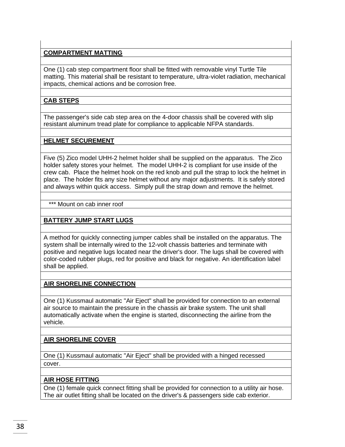# **COMPARTMENT MATTING**

One (1) cab step compartment floor shall be fitted with removable vinyl Turtle Tile matting. This material shall be resistant to temperature, ultra-violet radiation, mechanical impacts, chemical actions and be corrosion free.

# **CAB STEPS**

The passenger's side cab step area on the 4-door chassis shall be covered with slip resistant aluminum tread plate for compliance to applicable NFPA standards.

#### **HELMET SECUREMENT**

Five (5) Zico model UHH-2 helmet holder shall be supplied on the apparatus. The Zico holder safety stores your helmet. The model UHH-2 is compliant for use inside of the crew cab. Place the helmet hook on the red knob and pull the strap to lock the helmet in place. The holder fits any size helmet without any major adjustments. It is safely stored and always within quick access. Simply pull the strap down and remove the helmet.

#### \*\*\* Mount on cab inner roof

# **BATTERY JUMP START LUGS**

A method for quickly connecting jumper cables shall be installed on the apparatus. The system shall be internally wired to the 12-volt chassis batteries and terminate with positive and negative lugs located near the driver's door. The lugs shall be covered with color-coded rubber plugs, red for positive and black for negative. An identification label shall be applied.

# **AIR SHORELINE CONNECTION**

One (1) Kussmaul automatic "Air Eject" shall be provided for connection to an external air source to maintain the pressure in the chassis air brake system. The unit shall automatically activate when the engine is started, disconnecting the airline from the vehicle.

# **AIR SHORELINE COVER**

One (1) Kussmaul automatic "Air Eject" shall be provided with a hinged recessed cover.

# **AIR HOSE FITTING**

One (1) female quick connect fitting shall be provided for connection to a utility air hose. The air outlet fitting shall be located on the driver's & passengers side cab exterior.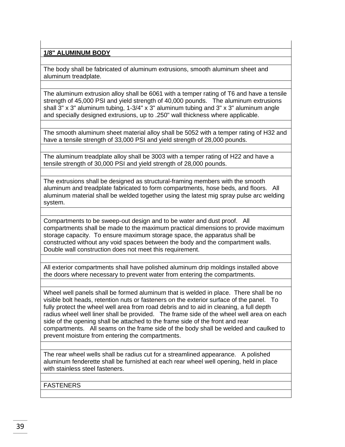## **1/8" ALUMINUM BODY**

The body shall be fabricated of aluminum extrusions, smooth aluminum sheet and aluminum treadplate.

The aluminum extrusion alloy shall be 6061 with a temper rating of T6 and have a tensile strength of 45,000 PSI and yield strength of 40,000 pounds. The aluminum extrusions shall 3" x 3" aluminum tubing, 1-3/4" x 3" aluminum tubing and 3" x 3" aluminum angle and specially designed extrusions, up to .250" wall thickness where applicable.

The smooth aluminum sheet material alloy shall be 5052 with a temper rating of H32 and have a tensile strength of 33,000 PSI and yield strength of 28,000 pounds.

The aluminum treadplate alloy shall be 3003 with a temper rating of H22 and have a tensile strength of 30,000 PSI and yield strength of 28,000 pounds.

The extrusions shall be designed as structural-framing members with the smooth aluminum and treadplate fabricated to form compartments, hose beds, and floors. All aluminum material shall be welded together using the latest mig spray pulse arc welding system.

Compartments to be sweep-out design and to be water and dust proof. All compartments shall be made to the maximum practical dimensions to provide maximum storage capacity. To ensure maximum storage space, the apparatus shall be constructed without any void spaces between the body and the compartment walls. Double wall construction does not meet this requirement.

All exterior compartments shall have polished aluminum drip moldings installed above the doors where necessary to prevent water from entering the compartments.

Wheel well panels shall be formed aluminum that is welded in place. There shall be no visible bolt heads, retention nuts or fasteners on the exterior surface of the panel. To fully protect the wheel well area from road debris and to aid in cleaning, a full depth radius wheel well liner shall be provided. The frame side of the wheel well area on each side of the opening shall be attached to the frame side of the front and rear compartments. All seams on the frame side of the body shall be welded and caulked to prevent moisture from entering the compartments.

The rear wheel wells shall be radius cut for a streamlined appearance. A polished aluminum fenderette shall be furnished at each rear wheel well opening, held in place with stainless steel fasteners.

**FASTENERS**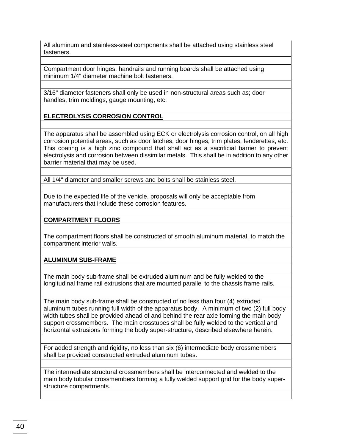All aluminum and stainless-steel components shall be attached using stainless steel fasteners.

Compartment door hinges, handrails and running boards shall be attached using minimum 1/4" diameter machine bolt fasteners.

3/16" diameter fasteners shall only be used in non-structural areas such as; door handles, trim moldings, gauge mounting, etc.

**ELECTROLYSIS CORROSION CONTROL**

The apparatus shall be assembled using ECK or electrolysis corrosion control, on all high corrosion potential areas, such as door latches, door hinges, trim plates, fenderettes, etc. This coating is a high zinc compound that shall act as a sacrificial barrier to prevent electrolysis and corrosion between dissimilar metals. This shall be in addition to any other barrier material that may be used.

All 1/4" diameter and smaller screws and bolts shall be stainless steel.

Due to the expected life of the vehicle, proposals will only be acceptable from manufacturers that include these corrosion features.

# **COMPARTMENT FLOORS**

The compartment floors shall be constructed of smooth aluminum material, to match the compartment interior walls.

**ALUMINUM SUB-FRAME**

The main body sub-frame shall be extruded aluminum and be fully welded to the longitudinal frame rail extrusions that are mounted parallel to the chassis frame rails.

The main body sub-frame shall be constructed of no less than four (4) extruded aluminum tubes running full width of the apparatus body. A minimum of two (2) full body width tubes shall be provided ahead of and behind the rear axle forming the main body support crossmembers. The main crosstubes shall be fully welded to the vertical and horizontal extrusions forming the body super-structure, described elsewhere herein.

For added strength and rigidity, no less than six (6) intermediate body crossmembers shall be provided constructed extruded aluminum tubes.

The intermediate structural crossmembers shall be interconnected and welded to the main body tubular crossmembers forming a fully welded support grid for the body superstructure compartments.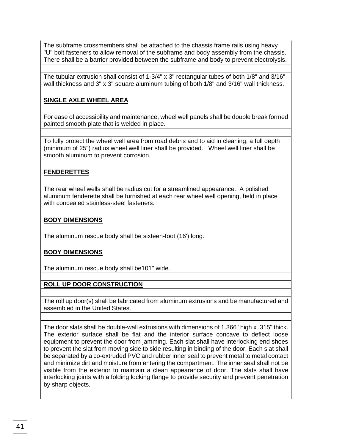The subframe crossmembers shall be attached to the chassis frame rails using heavy "U" bolt fasteners to allow removal of the subframe and body assembly from the chassis. There shall be a barrier provided between the subframe and body to prevent electrolysis.

The tubular extrusion shall consist of 1-3/4" x 3" rectangular tubes of both 1/8" and 3/16" wall thickness and 3" x 3" square aluminum tubing of both 1/8" and 3/16" wall thickness.

# **SINGLE AXLE WHEEL AREA**

For ease of accessibility and maintenance, wheel well panels shall be double break formed painted smooth plate that is welded in place.

To fully protect the wheel well area from road debris and to aid in cleaning, a full depth (minimum of 25") radius wheel well liner shall be provided. Wheel well liner shall be smooth aluminum to prevent corrosion.

#### **FENDERETTES**

The rear wheel wells shall be radius cut for a streamlined appearance. A polished aluminum fenderette shall be furnished at each rear wheel well opening, held in place with concealed stainless-steel fasteners.

#### **BODY DIMENSIONS**

The aluminum rescue body shall be sixteen-foot (16') long.

#### **BODY DIMENSIONS**

The aluminum rescue body shall be101" wide.

#### **ROLL UP DOOR CONSTRUCTION**

The roll up door(s) shall be fabricated from aluminum extrusions and be manufactured and assembled in the United States.

The door slats shall be double-wall extrusions with dimensions of 1.366" high x .315" thick. The exterior surface shall be flat and the interior surface concave to deflect loose equipment to prevent the door from jamming. Each slat shall have interlocking end shoes to prevent the slat from moving side to side resulting in binding of the door. Each slat shall be separated by a co-extruded PVC and rubber inner seal to prevent metal to metal contact and minimize dirt and moisture from entering the compartment. The inner seal shall not be visible from the exterior to maintain a clean appearance of door. The slats shall have interlocking joints with a folding locking flange to provide security and prevent penetration by sharp objects.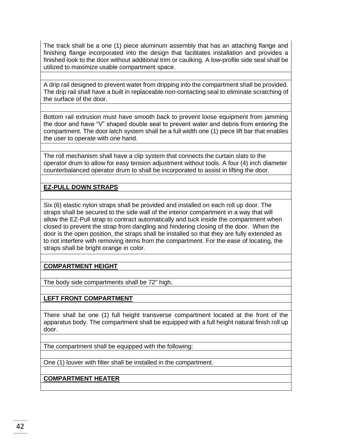The track shall be a one (1) piece aluminum assembly that has an attaching flange and finishing flange incorporated into the design that facilitates installation and provides a finished look to the door without additional trim or caulking. A low-profile side seal shall be utilized to maximize usable compartment space.

A drip rail designed to prevent water from dripping into the compartment shall be provided. The drip rail shall have a built in replaceable non-contacting seal to eliminate scratching of the surface of the door.

Bottom rail extrusion must have smooth back to prevent loose equipment from jamming the door and have "V" shaped double seal to prevent water and debris from entering the compartment. The door latch system shall be a full width one (1) piece lift bar that enables the user to operate with one hand.

The roll mechanism shall have a clip system that connects the curtain slats to the operator drum to allow for easy tension adjustment without tools. A four (4) inch diameter counterbalanced operator drum to shall be incorporated to assist in lifting the door.

#### **EZ-PULL DOWN STRAPS**

Six (6) elastic nylon straps shall be provided and installed on each roll up door. The straps shall be secured to the side wall of the interior compartment in a way that will allow the EZ-Pull strap to contract automatically and tuck inside the compartment when closed to prevent the strap from dangling and hindering closing of the door. When the door is the open position, the straps shall be installed so that they are fully extended as to not interfere with removing items from the compartment. For the ease of locating, the straps shall be bright orange in color.

# **COMPARTMENT HEIGHT**

The body side compartments shall be 72" high.

#### **LEFT FRONT COMPARTMENT**

There shall be one (1) full height transverse compartment located at the front of the apparatus body. The compartment shall be equipped with a full height natural finish roll up door.

The compartment shall be equipped with the following:

One (1) louver with filter shall be installed in the compartment.

**COMPARTMENT HEATER**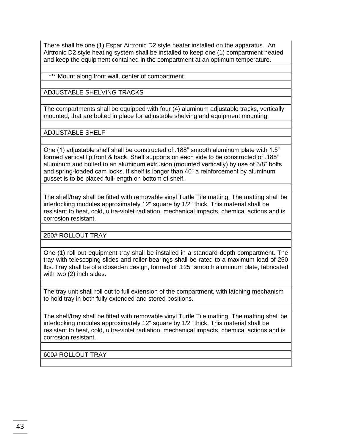There shall be one (1) Espar Airtronic D2 style heater installed on the apparatus. An Airtronic D2 style heating system shall be installed to keep one (1) compartment heated and keep the equipment contained in the compartment at an optimum temperature.

\*\*\* Mount along front wall, center of compartment

ADJUSTABLE SHELVING TRACKS

The compartments shall be equipped with four (4) aluminum adjustable tracks, vertically mounted, that are bolted in place for adjustable shelving and equipment mounting.

ADJUSTABLE SHELF

One (1) adjustable shelf shall be constructed of .188" smooth aluminum plate with 1.5" formed vertical lip front & back. Shelf supports on each side to be constructed of .188" aluminum and bolted to an aluminum extrusion (mounted vertically) by use of 3/8" bolts and spring-loaded cam locks. If shelf is longer than 40" a reinforcement by aluminum gusset is to be placed full-length on bottom of shelf.

The shelf/tray shall be fitted with removable vinyl Turtle Tile matting. The matting shall be interlocking modules approximately 12" square by 1/2" thick. This material shall be resistant to heat, cold, ultra-violet radiation, mechanical impacts, chemical actions and is corrosion resistant.

250# ROLLOUT TRAY

One (1) roll-out equipment tray shall be installed in a standard depth compartment. The tray with telescoping slides and roller bearings shall be rated to a maximum load of 250 lbs. Tray shall be of a closed-in design, formed of .125" smooth aluminum plate, fabricated with two (2) inch sides.

The tray unit shall roll out to full extension of the compartment, with latching mechanism to hold tray in both fully extended and stored positions.

The shelf/tray shall be fitted with removable vinyl Turtle Tile matting. The matting shall be interlocking modules approximately 12" square by 1/2" thick. This material shall be resistant to heat, cold, ultra-violet radiation, mechanical impacts, chemical actions and is corrosion resistant.

600# ROLLOUT TRAY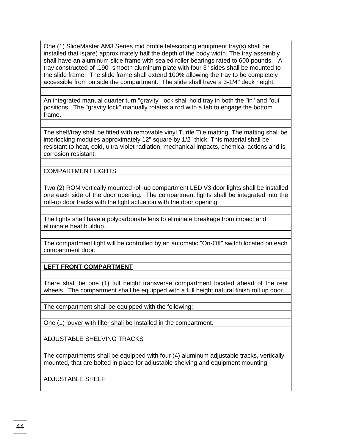One (1) SlideMaster AM3 Series mid profile telescoping equipment tray(s) shall be installed that is(are) approximately half the depth of the body width. The tray assembly shall have an aluminum slide frame with sealed roller bearings rated to 600 pounds. A tray constructed of .190" smooth aluminum plate with four 3" sides shall be mounted to the slide frame. The slide frame shall extend 100% allowing the tray to be completely accessible from outside the compartment. The slide shall have a 3-1/4" deck height.

An integrated manual quarter turn "gravity" lock shall hold tray in both the "in" and "out" positions. The "gravity lock" manually rotates a rod with a tab to engage the bottom frame.

The shelf/tray shall be fitted with removable vinyl Turtle Tile matting. The matting shall be interlocking modules approximately 12" square by 1/2" thick. This material shall be resistant to heat, cold, ultra-violet radiation, mechanical impacts, chemical actions and is corrosion resistant.

COMPARTMENT LIGHTS

Two (2) ROM vertically mounted roll-up compartment LED V3 door lights shall be installed one each side of the door opening. The compartment lights shall be integrated into the roll-up door tracks with the light actuation with the door opening.

The lights shall have a polycarbonate lens to eliminate breakage from impact and eliminate heat buildup.

The compartment light will be controlled by an automatic "On-Off" switch located on each compartment door.

**LEFT FRONT COMPARTMENT**

There shall be one (1) full height transverse compartment located ahead of the rear wheels. The compartment shall be equipped with a full height natural finish roll up door.

The compartment shall be equipped with the following:

One (1) louver with filter shall be installed in the compartment.

ADJUSTABLE SHELVING TRACKS

The compartments shall be equipped with four (4) aluminum adjustable tracks, vertically mounted, that are bolted in place for adjustable shelving and equipment mounting.

ADJUSTABLE SHELF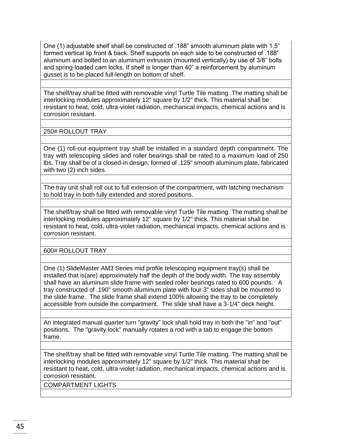One (1) adjustable shelf shall be constructed of .188" smooth aluminum plate with 1.5" formed vertical lip front & back. Shelf supports on each side to be constructed of .188" aluminum and bolted to an aluminum extrusion (mounted vertically) by use of 3/8" bolts and spring-loaded cam locks. If shelf is longer than 40" a reinforcement by aluminum gusset is to be placed full-length on bottom of shelf.

The shelf/tray shall be fitted with removable vinyl Turtle Tile matting. The matting shall be interlocking modules approximately 12" square by 1/2" thick. This material shall be resistant to heat, cold, ultra-violet radiation, mechanical impacts, chemical actions and is corrosion resistant.

250# ROLLOUT TRAY

One (1) roll-out equipment tray shall be installed in a standard depth compartment. The tray with telescoping slides and roller bearings shall be rated to a maximum load of 250 lbs. Tray shall be of a closed-in design, formed of .125" smooth aluminum plate, fabricated with two (2) inch sides.

The tray unit shall roll out to full extension of the compartment, with latching mechanism to hold tray in both fully extended and stored positions.

The shelf/tray shall be fitted with removable vinyl Turtle Tile matting. The matting shall be interlocking modules approximately 12" square by 1/2" thick. This material shall be resistant to heat, cold, ultra-violet radiation, mechanical impacts, chemical actions and is corrosion resistant.

600# ROLLOUT TRAY

One (1) SlideMaster AM3 Series mid profile telescoping equipment tray(s) shall be installed that is(are) approximately half the depth of the body width. The tray assembly shall have an aluminum slide frame with sealed roller bearings rated to 600 pounds. A tray constructed of .190" smooth aluminum plate with four 3" sides shall be mounted to the slide frame. The slide frame shall extend 100% allowing the tray to be completely accessible from outside the compartment. The slide shall have a 3-1/4" deck height.

An integrated manual quarter turn "gravity" lock shall hold tray in both the "in" and "out" positions. The "gravity lock" manually rotates a rod with a tab to engage the bottom frame.

The shelf/tray shall be fitted with removable vinyl Turtle Tile matting. The matting shall be interlocking modules approximately 12" square by 1/2" thick. This material shall be resistant to heat, cold, ultra-violet radiation, mechanical impacts, chemical actions and is corrosion resistant.

COMPARTMENT LIGHTS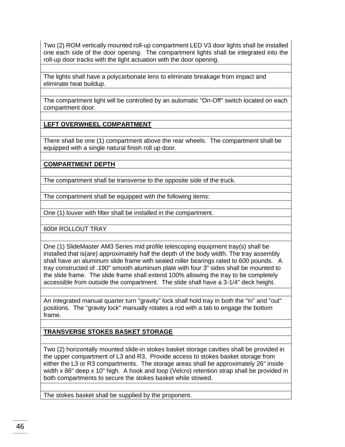Two (2) ROM vertically mounted roll-up compartment LED V3 door lights shall be installed one each side of the door opening. The compartment lights shall be integrated into the roll-up door tracks with the light actuation with the door opening.

The lights shall have a polycarbonate lens to eliminate breakage from impact and eliminate heat buildup.

The compartment light will be controlled by an automatic "On-Off" switch located on each compartment door.

#### **LEFT OVERWHEEL COMPARTMENT**

There shall be one (1) compartment above the rear wheels. The compartment shall be equipped with a single natural finish roll up door.

# **COMPARTMENT DEPTH**

The compartment shall be transverse to the opposite side of the truck.

The compartment shall be equipped with the following items:

One (1) louver with filter shall be installed in the compartment.

600# ROLLOUT TRAY

One (1) SlideMaster AM3 Series mid profile telescoping equipment tray(s) shall be installed that is(are) approximately half the depth of the body width. The tray assembly shall have an aluminum slide frame with sealed roller bearings rated to 600 pounds. A tray constructed of .190" smooth aluminum plate with four 3" sides shall be mounted to the slide frame. The slide frame shall extend 100% allowing the tray to be completely accessible from outside the compartment. The slide shall have a 3-1/4" deck height.

An integrated manual quarter turn "gravity" lock shall hold tray in both the "in" and "out" positions. The "gravity lock" manually rotates a rod with a tab to engage the bottom frame.

**TRANSVERSE STOKES BASKET STORAGE**

Two (2) horizontally mounted slide-in stokes basket storage cavities shall be provided in the upper compartment of L3 and R3. Provide access to stokes basket storage from either the L3 or R3 compartments. The storage areas shall be approximately 26" inside width x 86" deep x 10" high. A hook and loop (Velcro) retention strap shall be provided in both compartments to secure the stokes basket while stowed.

The stokes basket shall be supplied by the proponent.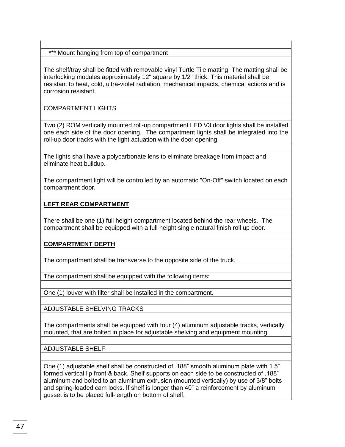\*\*\* Mount hanging from top of compartment

The shelf/tray shall be fitted with removable vinyl Turtle Tile matting. The matting shall be interlocking modules approximately 12" square by 1/2" thick. This material shall be resistant to heat, cold, ultra-violet radiation, mechanical impacts, chemical actions and is corrosion resistant.

COMPARTMENT LIGHTS

Two (2) ROM vertically mounted roll-up compartment LED V3 door lights shall be installed one each side of the door opening. The compartment lights shall be integrated into the roll-up door tracks with the light actuation with the door opening.

The lights shall have a polycarbonate lens to eliminate breakage from impact and eliminate heat buildup.

The compartment light will be controlled by an automatic "On-Off" switch located on each compartment door.

#### **LEFT REAR COMPARTMENT**

There shall be one (1) full height compartment located behind the rear wheels. The compartment shall be equipped with a full height single natural finish roll up door.

#### **COMPARTMENT DEPTH**

The compartment shall be transverse to the opposite side of the truck.

The compartment shall be equipped with the following items:

One (1) louver with filter shall be installed in the compartment.

ADJUSTABLE SHELVING TRACKS

The compartments shall be equipped with four (4) aluminum adjustable tracks, vertically mounted, that are bolted in place for adjustable shelving and equipment mounting.

ADJUSTABLE SHELF

One (1) adjustable shelf shall be constructed of .188" smooth aluminum plate with 1.5" formed vertical lip front & back. Shelf supports on each side to be constructed of .188" aluminum and bolted to an aluminum extrusion (mounted vertically) by use of 3/8" bolts and spring-loaded cam locks. If shelf is longer than 40" a reinforcement by aluminum gusset is to be placed full-length on bottom of shelf.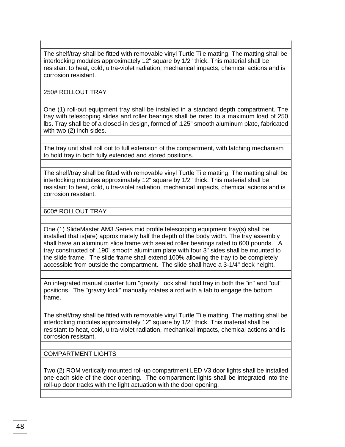The shelf/tray shall be fitted with removable vinyl Turtle Tile matting. The matting shall be interlocking modules approximately 12" square by 1/2" thick. This material shall be resistant to heat, cold, ultra-violet radiation, mechanical impacts, chemical actions and is corrosion resistant.

#### 250# ROLLOUT TRAY

One (1) roll-out equipment tray shall be installed in a standard depth compartment. The tray with telescoping slides and roller bearings shall be rated to a maximum load of 250 lbs. Tray shall be of a closed-in design, formed of .125" smooth aluminum plate, fabricated with two (2) inch sides.

The tray unit shall roll out to full extension of the compartment, with latching mechanism to hold tray in both fully extended and stored positions.

The shelf/tray shall be fitted with removable vinyl Turtle Tile matting. The matting shall be interlocking modules approximately 12" square by 1/2" thick. This material shall be resistant to heat, cold, ultra-violet radiation, mechanical impacts, chemical actions and is corrosion resistant.

600# ROLLOUT TRAY

One (1) SlideMaster AM3 Series mid profile telescoping equipment tray(s) shall be installed that is(are) approximately half the depth of the body width. The tray assembly shall have an aluminum slide frame with sealed roller bearings rated to 600 pounds. A tray constructed of .190" smooth aluminum plate with four 3" sides shall be mounted to the slide frame. The slide frame shall extend 100% allowing the tray to be completely accessible from outside the compartment. The slide shall have a 3-1/4" deck height.

An integrated manual quarter turn "gravity" lock shall hold tray in both the "in" and "out" positions. The "gravity lock" manually rotates a rod with a tab to engage the bottom frame.

The shelf/tray shall be fitted with removable vinyl Turtle Tile matting. The matting shall be interlocking modules approximately 12" square by 1/2" thick. This material shall be resistant to heat, cold, ultra-violet radiation, mechanical impacts, chemical actions and is corrosion resistant.

COMPARTMENT LIGHTS

Two (2) ROM vertically mounted roll-up compartment LED V3 door lights shall be installed one each side of the door opening. The compartment lights shall be integrated into the roll-up door tracks with the light actuation with the door opening.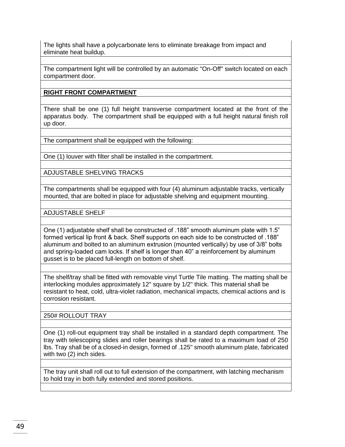The lights shall have a polycarbonate lens to eliminate breakage from impact and eliminate heat buildup.

The compartment light will be controlled by an automatic "On-Off" switch located on each compartment door.

# **RIGHT FRONT COMPARTMENT**

There shall be one (1) full height transverse compartment located at the front of the apparatus body. The compartment shall be equipped with a full height natural finish roll up door.

The compartment shall be equipped with the following:

One (1) louver with filter shall be installed in the compartment.

ADJUSTABLE SHELVING TRACKS

The compartments shall be equipped with four (4) aluminum adjustable tracks, vertically mounted, that are bolted in place for adjustable shelving and equipment mounting.

ADJUSTABLE SHELF

One (1) adjustable shelf shall be constructed of .188" smooth aluminum plate with 1.5" formed vertical lip front & back. Shelf supports on each side to be constructed of .188" aluminum and bolted to an aluminum extrusion (mounted vertically) by use of 3/8" bolts and spring-loaded cam locks. If shelf is longer than 40" a reinforcement by aluminum gusset is to be placed full-length on bottom of shelf.

The shelf/tray shall be fitted with removable vinyl Turtle Tile matting. The matting shall be interlocking modules approximately 12" square by 1/2" thick. This material shall be resistant to heat, cold, ultra-violet radiation, mechanical impacts, chemical actions and is corrosion resistant.

# 250# ROLLOUT TRAY

One (1) roll-out equipment tray shall be installed in a standard depth compartment. The tray with telescoping slides and roller bearings shall be rated to a maximum load of 250 lbs. Tray shall be of a closed-in design, formed of .125" smooth aluminum plate, fabricated with two (2) inch sides.

The tray unit shall roll out to full extension of the compartment, with latching mechanism to hold tray in both fully extended and stored positions.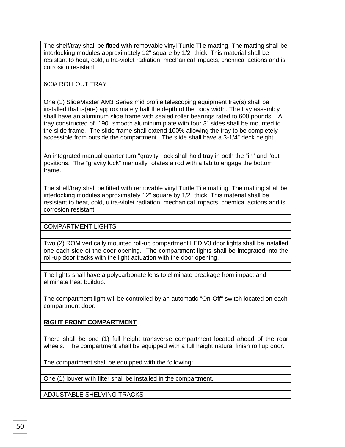The shelf/tray shall be fitted with removable vinyl Turtle Tile matting. The matting shall be interlocking modules approximately 12" square by 1/2" thick. This material shall be resistant to heat, cold, ultra-violet radiation, mechanical impacts, chemical actions and is corrosion resistant.

600# ROLLOUT TRAY

One (1) SlideMaster AM3 Series mid profile telescoping equipment tray(s) shall be installed that is(are) approximately half the depth of the body width. The tray assembly shall have an aluminum slide frame with sealed roller bearings rated to 600 pounds. A tray constructed of .190" smooth aluminum plate with four 3" sides shall be mounted to the slide frame. The slide frame shall extend 100% allowing the tray to be completely accessible from outside the compartment. The slide shall have a 3-1/4" deck height.

An integrated manual quarter turn "gravity" lock shall hold tray in both the "in" and "out" positions. The "gravity lock" manually rotates a rod with a tab to engage the bottom frame.

The shelf/tray shall be fitted with removable vinyl Turtle Tile matting. The matting shall be interlocking modules approximately 12" square by 1/2" thick. This material shall be resistant to heat, cold, ultra-violet radiation, mechanical impacts, chemical actions and is corrosion resistant.

COMPARTMENT LIGHTS

Two (2) ROM vertically mounted roll-up compartment LED V3 door lights shall be installed one each side of the door opening. The compartment lights shall be integrated into the roll-up door tracks with the light actuation with the door opening.

The lights shall have a polycarbonate lens to eliminate breakage from impact and eliminate heat buildup.

The compartment light will be controlled by an automatic "On-Off" switch located on each compartment door.

**RIGHT FRONT COMPARTMENT**

There shall be one (1) full height transverse compartment located ahead of the rear wheels. The compartment shall be equipped with a full height natural finish roll up door.

The compartment shall be equipped with the following:

One (1) louver with filter shall be installed in the compartment.

ADJUSTABLE SHELVING TRACKS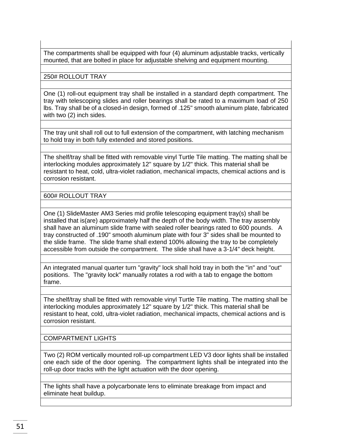The compartments shall be equipped with four (4) aluminum adjustable tracks, vertically mounted, that are bolted in place for adjustable shelving and equipment mounting.

250# ROLLOUT TRAY

One (1) roll-out equipment tray shall be installed in a standard depth compartment. The tray with telescoping slides and roller bearings shall be rated to a maximum load of 250 lbs. Tray shall be of a closed-in design, formed of .125" smooth aluminum plate, fabricated with two (2) inch sides.

The tray unit shall roll out to full extension of the compartment, with latching mechanism to hold tray in both fully extended and stored positions.

The shelf/tray shall be fitted with removable vinyl Turtle Tile matting. The matting shall be interlocking modules approximately 12" square by 1/2" thick. This material shall be resistant to heat, cold, ultra-violet radiation, mechanical impacts, chemical actions and is corrosion resistant.

600# ROLLOUT TRAY

One (1) SlideMaster AM3 Series mid profile telescoping equipment tray(s) shall be installed that is(are) approximately half the depth of the body width. The tray assembly shall have an aluminum slide frame with sealed roller bearings rated to 600 pounds. A tray constructed of .190" smooth aluminum plate with four 3" sides shall be mounted to the slide frame. The slide frame shall extend 100% allowing the tray to be completely accessible from outside the compartment. The slide shall have a 3-1/4" deck height.

An integrated manual quarter turn "gravity" lock shall hold tray in both the "in" and "out" positions. The "gravity lock" manually rotates a rod with a tab to engage the bottom frame.

The shelf/tray shall be fitted with removable vinyl Turtle Tile matting. The matting shall be interlocking modules approximately 12" square by 1/2" thick. This material shall be resistant to heat, cold, ultra-violet radiation, mechanical impacts, chemical actions and is corrosion resistant.

COMPARTMENT LIGHTS

Two (2) ROM vertically mounted roll-up compartment LED V3 door lights shall be installed one each side of the door opening. The compartment lights shall be integrated into the roll-up door tracks with the light actuation with the door opening.

The lights shall have a polycarbonate lens to eliminate breakage from impact and eliminate heat buildup.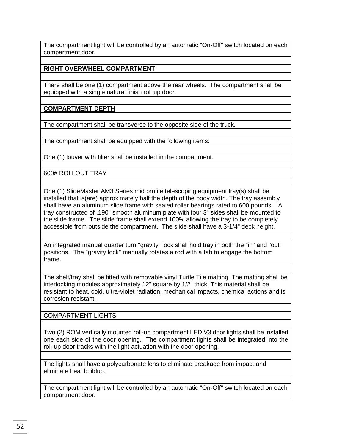The compartment light will be controlled by an automatic "On-Off" switch located on each compartment door.

# **RIGHT OVERWHEEL COMPARTMENT**

There shall be one (1) compartment above the rear wheels. The compartment shall be equipped with a single natural finish roll up door.

#### **COMPARTMENT DEPTH**

The compartment shall be transverse to the opposite side of the truck.

The compartment shall be equipped with the following items:

One (1) louver with filter shall be installed in the compartment.

600# ROLLOUT TRAY

One (1) SlideMaster AM3 Series mid profile telescoping equipment tray(s) shall be installed that is(are) approximately half the depth of the body width. The tray assembly shall have an aluminum slide frame with sealed roller bearings rated to 600 pounds. A tray constructed of .190" smooth aluminum plate with four 3" sides shall be mounted to the slide frame. The slide frame shall extend 100% allowing the tray to be completely accessible from outside the compartment. The slide shall have a 3-1/4" deck height.

An integrated manual quarter turn "gravity" lock shall hold tray in both the "in" and "out" positions. The "gravity lock" manually rotates a rod with a tab to engage the bottom frame.

The shelf/tray shall be fitted with removable vinyl Turtle Tile matting. The matting shall be interlocking modules approximately 12" square by 1/2" thick. This material shall be resistant to heat, cold, ultra-violet radiation, mechanical impacts, chemical actions and is corrosion resistant.

#### COMPARTMENT LIGHTS

Two (2) ROM vertically mounted roll-up compartment LED V3 door lights shall be installed one each side of the door opening. The compartment lights shall be integrated into the roll-up door tracks with the light actuation with the door opening.

The lights shall have a polycarbonate lens to eliminate breakage from impact and eliminate heat buildup.

The compartment light will be controlled by an automatic "On-Off" switch located on each compartment door.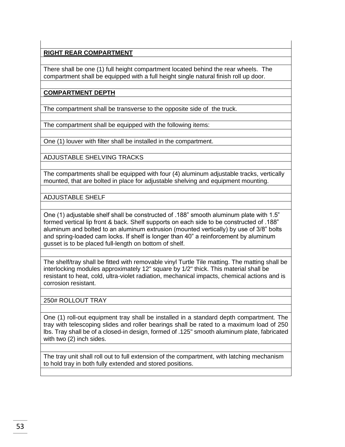# **RIGHT REAR COMPARTMENT**

There shall be one (1) full height compartment located behind the rear wheels. The compartment shall be equipped with a full height single natural finish roll up door.

# **COMPARTMENT DEPTH**

The compartment shall be transverse to the opposite side of the truck.

The compartment shall be equipped with the following items:

One (1) louver with filter shall be installed in the compartment.

ADJUSTABLE SHELVING TRACKS

The compartments shall be equipped with four (4) aluminum adjustable tracks, vertically mounted, that are bolted in place for adjustable shelving and equipment mounting.

ADJUSTABLE SHELF

One (1) adjustable shelf shall be constructed of .188" smooth aluminum plate with 1.5" formed vertical lip front & back. Shelf supports on each side to be constructed of .188" aluminum and bolted to an aluminum extrusion (mounted vertically) by use of 3/8" bolts and spring-loaded cam locks. If shelf is longer than 40" a reinforcement by aluminum gusset is to be placed full-length on bottom of shelf.

The shelf/tray shall be fitted with removable vinyl Turtle Tile matting. The matting shall be interlocking modules approximately 12" square by 1/2" thick. This material shall be resistant to heat, cold, ultra-violet radiation, mechanical impacts, chemical actions and is corrosion resistant.

250# ROLLOUT TRAY

One (1) roll-out equipment tray shall be installed in a standard depth compartment. The tray with telescoping slides and roller bearings shall be rated to a maximum load of 250 lbs. Tray shall be of a closed-in design, formed of .125" smooth aluminum plate, fabricated with two (2) inch sides.

The tray unit shall roll out to full extension of the compartment, with latching mechanism to hold tray in both fully extended and stored positions.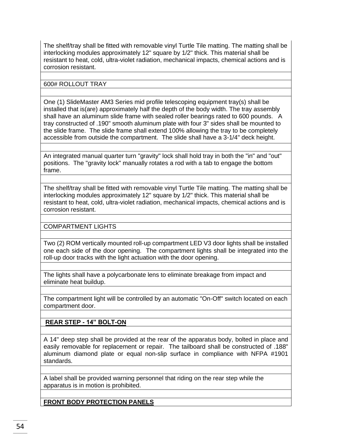The shelf/tray shall be fitted with removable vinyl Turtle Tile matting. The matting shall be interlocking modules approximately 12" square by 1/2" thick. This material shall be resistant to heat, cold, ultra-violet radiation, mechanical impacts, chemical actions and is corrosion resistant.

600# ROLLOUT TRAY

One (1) SlideMaster AM3 Series mid profile telescoping equipment tray(s) shall be installed that is(are) approximately half the depth of the body width. The tray assembly shall have an aluminum slide frame with sealed roller bearings rated to 600 pounds. A tray constructed of .190" smooth aluminum plate with four 3" sides shall be mounted to the slide frame. The slide frame shall extend 100% allowing the tray to be completely accessible from outside the compartment. The slide shall have a 3-1/4" deck height.

An integrated manual quarter turn "gravity" lock shall hold tray in both the "in" and "out" positions. The "gravity lock" manually rotates a rod with a tab to engage the bottom frame.

The shelf/tray shall be fitted with removable vinyl Turtle Tile matting. The matting shall be interlocking modules approximately 12" square by 1/2" thick. This material shall be resistant to heat, cold, ultra-violet radiation, mechanical impacts, chemical actions and is corrosion resistant.

COMPARTMENT LIGHTS

Two (2) ROM vertically mounted roll-up compartment LED V3 door lights shall be installed one each side of the door opening. The compartment lights shall be integrated into the roll-up door tracks with the light actuation with the door opening.

The lights shall have a polycarbonate lens to eliminate breakage from impact and eliminate heat buildup.

The compartment light will be controlled by an automatic "On-Off" switch located on each compartment door.

**REAR STEP - 14" BOLT-ON**

A 14" deep step shall be provided at the rear of the apparatus body, bolted in place and easily removable for replacement or repair. The tailboard shall be constructed of .188" aluminum diamond plate or equal non-slip surface in compliance with NFPA #1901 standards.

A label shall be provided warning personnel that riding on the rear step while the apparatus is in motion is prohibited.

**FRONT BODY PROTECTION PANELS**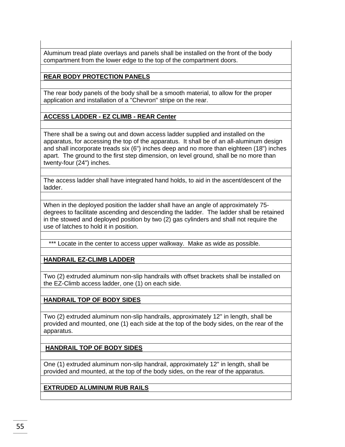Aluminum tread plate overlays and panels shall be installed on the front of the body compartment from the lower edge to the top of the compartment doors.

# **REAR BODY PROTECTION PANELS**

The rear body panels of the body shall be a smooth material, to allow for the proper application and installation of a "Chevron" stripe on the rear.

# **ACCESS LADDER - EZ CLIMB - REAR Center**

There shall be a swing out and down access ladder supplied and installed on the apparatus, for accessing the top of the apparatus. It shall be of an all-aluminum design and shall incorporate treads six (6") inches deep and no more than eighteen (18") inches apart. The ground to the first step dimension, on level ground, shall be no more than twenty-four (24") inches.

The access ladder shall have integrated hand holds, to aid in the ascent/descent of the ladder.

When in the deployed position the ladder shall have an angle of approximately 75 degrees to facilitate ascending and descending the ladder. The ladder shall be retained in the stowed and deployed position by two (2) gas cylinders and shall not require the use of latches to hold it in position.

\*\*\* Locate in the center to access upper walkway. Make as wide as possible.

# **HANDRAIL EZ-CLIMB LADDER**

Two (2) extruded aluminum non-slip handrails with offset brackets shall be installed on the EZ-Climb access ladder, one (1) on each side.

# **HANDRAIL TOP OF BODY SIDES**

Two (2) extruded aluminum non-slip handrails, approximately 12" in length, shall be provided and mounted, one (1) each side at the top of the body sides, on the rear of the apparatus.

**HANDRAIL TOP OF BODY SIDES**

One (1) extruded aluminum non-slip handrail, approximately 12" in length, shall be provided and mounted, at the top of the body sides, on the rear of the apparatus.

#### **EXTRUDED ALUMINUM RUB RAILS**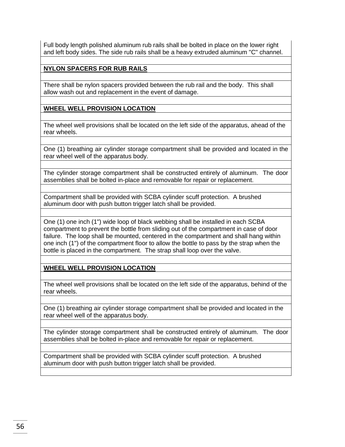Full body length polished aluminum rub rails shall be bolted in place on the lower right and left body sides. The side rub rails shall be a heavy extruded aluminum "C" channel.

# **NYLON SPACERS FOR RUB RAILS**

There shall be nylon spacers provided between the rub rail and the body. This shall allow wash out and replacement in the event of damage.

**WHEEL WELL PROVISION LOCATION**

The wheel well provisions shall be located on the left side of the apparatus, ahead of the rear wheels.

One (1) breathing air cylinder storage compartment shall be provided and located in the rear wheel well of the apparatus body.

The cylinder storage compartment shall be constructed entirely of aluminum. The door assemblies shall be bolted in-place and removable for repair or replacement.

Compartment shall be provided with SCBA cylinder scuff protection. A brushed aluminum door with push button trigger latch shall be provided.

One (1) one inch (1") wide loop of black webbing shall be installed in each SCBA compartment to prevent the bottle from sliding out of the compartment in case of door failure. The loop shall be mounted, centered in the compartment and shall hang within one inch (1") of the compartment floor to allow the bottle to pass by the strap when the bottle is placed in the compartment. The strap shall loop over the valve.

# **WHEEL WELL PROVISION LOCATION**

The wheel well provisions shall be located on the left side of the apparatus, behind of the rear wheels.

One (1) breathing air cylinder storage compartment shall be provided and located in the rear wheel well of the apparatus body.

The cylinder storage compartment shall be constructed entirely of aluminum. The door assemblies shall be bolted in-place and removable for repair or replacement.

Compartment shall be provided with SCBA cylinder scuff protection. A brushed aluminum door with push button trigger latch shall be provided.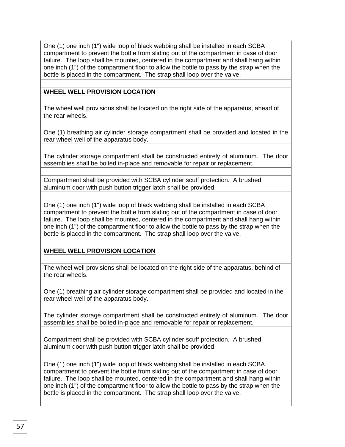One (1) one inch (1") wide loop of black webbing shall be installed in each SCBA compartment to prevent the bottle from sliding out of the compartment in case of door failure. The loop shall be mounted, centered in the compartment and shall hang within one inch (1") of the compartment floor to allow the bottle to pass by the strap when the bottle is placed in the compartment. The strap shall loop over the valve.

## **WHEEL WELL PROVISION LOCATION**

The wheel well provisions shall be located on the right side of the apparatus, ahead of the rear wheels.

One (1) breathing air cylinder storage compartment shall be provided and located in the rear wheel well of the apparatus body.

The cylinder storage compartment shall be constructed entirely of aluminum. The door assemblies shall be bolted in-place and removable for repair or replacement.

Compartment shall be provided with SCBA cylinder scuff protection. A brushed aluminum door with push button trigger latch shall be provided.

One (1) one inch (1") wide loop of black webbing shall be installed in each SCBA compartment to prevent the bottle from sliding out of the compartment in case of door failure. The loop shall be mounted, centered in the compartment and shall hang within one inch (1") of the compartment floor to allow the bottle to pass by the strap when the bottle is placed in the compartment. The strap shall loop over the valve.

# **WHEEL WELL PROVISION LOCATION**

The wheel well provisions shall be located on the right side of the apparatus, behind of the rear wheels.

One (1) breathing air cylinder storage compartment shall be provided and located in the rear wheel well of the apparatus body.

The cylinder storage compartment shall be constructed entirely of aluminum. The door assemblies shall be bolted in-place and removable for repair or replacement.

Compartment shall be provided with SCBA cylinder scuff protection. A brushed aluminum door with push button trigger latch shall be provided.

One (1) one inch (1") wide loop of black webbing shall be installed in each SCBA compartment to prevent the bottle from sliding out of the compartment in case of door failure. The loop shall be mounted, centered in the compartment and shall hang within one inch (1") of the compartment floor to allow the bottle to pass by the strap when the bottle is placed in the compartment. The strap shall loop over the valve.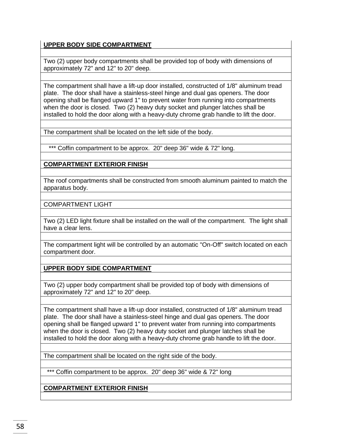# **UPPER BODY SIDE COMPARTMENT**

Two (2) upper body compartments shall be provided top of body with dimensions of approximately 72" and 12" to 20" deep.

The compartment shall have a lift-up door installed, constructed of 1/8" aluminum tread plate. The door shall have a stainless-steel hinge and dual gas openers. The door opening shall be flanged upward 1" to prevent water from running into compartments when the door is closed. Two (2) heavy duty socket and plunger latches shall be installed to hold the door along with a heavy-duty chrome grab handle to lift the door.

The compartment shall be located on the left side of the body.

\*\*\* Coffin compartment to be approx. 20" deep 36" wide & 72" long.

**COMPARTMENT EXTERIOR FINISH**

The roof compartments shall be constructed from smooth aluminum painted to match the apparatus body.

COMPARTMENT LIGHT

Two (2) LED light fixture shall be installed on the wall of the compartment. The light shall have a clear lens.

The compartment light will be controlled by an automatic "On-Off" switch located on each compartment door.

**UPPER BODY SIDE COMPARTMENT**

Two (2) upper body compartment shall be provided top of body with dimensions of approximately 72" and 12" to 20" deep.

The compartment shall have a lift-up door installed, constructed of 1/8" aluminum tread plate. The door shall have a stainless-steel hinge and dual gas openers. The door opening shall be flanged upward 1" to prevent water from running into compartments when the door is closed. Two (2) heavy duty socket and plunger latches shall be installed to hold the door along with a heavy-duty chrome grab handle to lift the door.

The compartment shall be located on the right side of the body.

\*\*\* Coffin compartment to be approx. 20" deep 36" wide & 72" long

**COMPARTMENT EXTERIOR FINISH**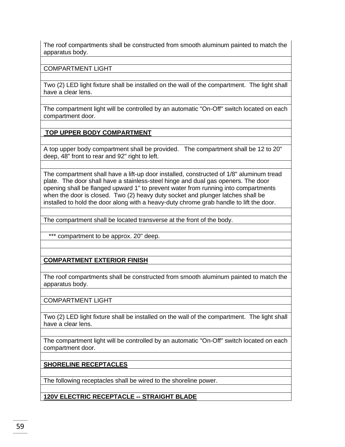The roof compartments shall be constructed from smooth aluminum painted to match the apparatus body.

COMPARTMENT LIGHT

Two (2) LED light fixture shall be installed on the wall of the compartment. The light shall have a clear lens.

The compartment light will be controlled by an automatic "On-Off" switch located on each compartment door.

**TOP UPPER BODY COMPARTMENT**

A top upper body compartment shall be provided. The compartment shall be 12 to 20" deep, 48" front to rear and 92" right to left.

The compartment shall have a lift-up door installed, constructed of 1/8" aluminum tread plate. The door shall have a stainless-steel hinge and dual gas openers. The door opening shall be flanged upward 1" to prevent water from running into compartments when the door is closed. Two (2) heavy duty socket and plunger latches shall be installed to hold the door along with a heavy-duty chrome grab handle to lift the door.

The compartment shall be located transverse at the front of the body.

\*\*\* compartment to be approx. 20" deep.

**COMPARTMENT EXTERIOR FINISH**

The roof compartments shall be constructed from smooth aluminum painted to match the apparatus body.

COMPARTMENT LIGHT

Two (2) LED light fixture shall be installed on the wall of the compartment. The light shall have a clear lens.

The compartment light will be controlled by an automatic "On-Off" switch located on each compartment door.

**SHORELINE RECEPTACLES** 

The following receptacles shall be wired to the shoreline power.

**120V ELECTRIC RECEPTACLE -- STRAIGHT BLADE**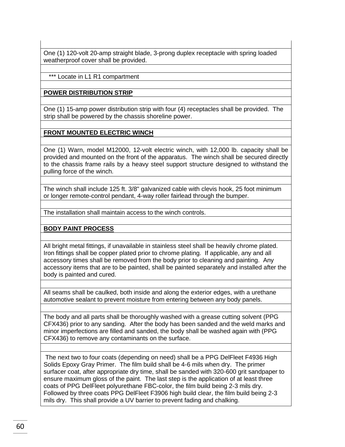One (1) 120-volt 20-amp straight blade, 3-prong duplex receptacle with spring loaded weatherproof cover shall be provided.

\*\*\* Locate in L1 R1 compartment

## **POWER DISTRIBUTION STRIP**

One (1) 15-amp power distribution strip with four (4) receptacles shall be provided. The strip shall be powered by the chassis shoreline power.

#### **FRONT MOUNTED ELECTRIC WINCH**

One (1) Warn, model M12000, 12-volt electric winch, with 12,000 lb. capacity shall be provided and mounted on the front of the apparatus. The winch shall be secured directly to the chassis frame rails by a heavy steel support structure designed to withstand the pulling force of the winch.

The winch shall include 125 ft. 3/8" galvanized cable with clevis hook, 25 foot minimum or longer remote-control pendant, 4-way roller fairlead through the bumper.

The installation shall maintain access to the winch controls.

# **BODY PAINT PROCESS**

All bright metal fittings, if unavailable in stainless steel shall be heavily chrome plated. Iron fittings shall be copper plated prior to chrome plating. If applicable, any and all accessory times shall be removed from the body prior to cleaning and painting. Any accessory items that are to be painted, shall be painted separately and installed after the body is painted and cured.

All seams shall be caulked, both inside and along the exterior edges, with a urethane automotive sealant to prevent moisture from entering between any body panels.

The body and all parts shall be thoroughly washed with a grease cutting solvent (PPG CFX436) prior to any sanding. After the body has been sanded and the weld marks and minor imperfections are filled and sanded, the body shall be washed again with (PPG CFX436) to remove any contaminants on the surface.

The next two to four coats (depending on need) shall be a PPG DelFleet F4936 High Solids Epoxy Gray Primer. The film build shall be 4-6 mils when dry. The primer surfacer coat, after appropriate dry time, shall be sanded with 320-600 grit sandpaper to ensure maximum gloss of the paint. The last step is the application of at least three coats of PPG DelFleet polyurethane FBC-color, the film build being 2-3 mils dry. Followed by three coats PPG DelFleet F3906 high build clear, the film build being 2-3 mils dry. This shall provide a UV barrier to prevent fading and chalking.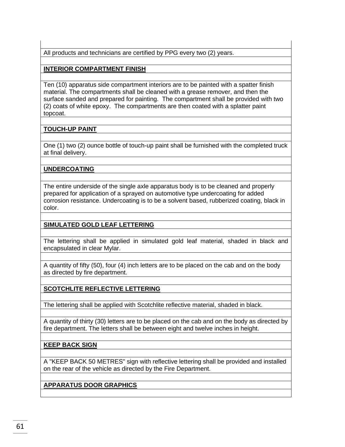All products and technicians are certified by PPG every two (2) years.

## **INTERIOR COMPARTMENT FINISH**

Ten (10) apparatus side compartment interiors are to be painted with a spatter finish material. The compartments shall be cleaned with a grease remover, and then the surface sanded and prepared for painting. The compartment shall be provided with two (2) coats of white epoxy. The compartments are then coated with a splatter paint topcoat.

# **TOUCH-UP PAINT**

One (1) two (2) ounce bottle of touch-up paint shall be furnished with the completed truck at final delivery.

#### **UNDERCOATING**

The entire underside of the single axle apparatus body is to be cleaned and properly prepared for application of a sprayed on automotive type undercoating for added corrosion resistance. Undercoating is to be a solvent based, rubberized coating, black in color.

# **SIMULATED GOLD LEAF LETTERING**

The lettering shall be applied in simulated gold leaf material, shaded in black and encapsulated in clear Mylar.

A quantity of fifty (50), four (4) inch letters are to be placed on the cab and on the body as directed by fire department.

# **SCOTCHLITE REFLECTIVE LETTERING**

The lettering shall be applied with Scotchlite reflective material, shaded in black.

A quantity of thirty (30) letters are to be placed on the cab and on the body as directed by fire department. The letters shall be between eight and twelve inches in height.

#### **KEEP BACK SIGN**

A "KEEP BACK 50 METRES" sign with reflective lettering shall be provided and installed on the rear of the vehicle as directed by the Fire Department.

#### **APPARATUS DOOR GRAPHICS**